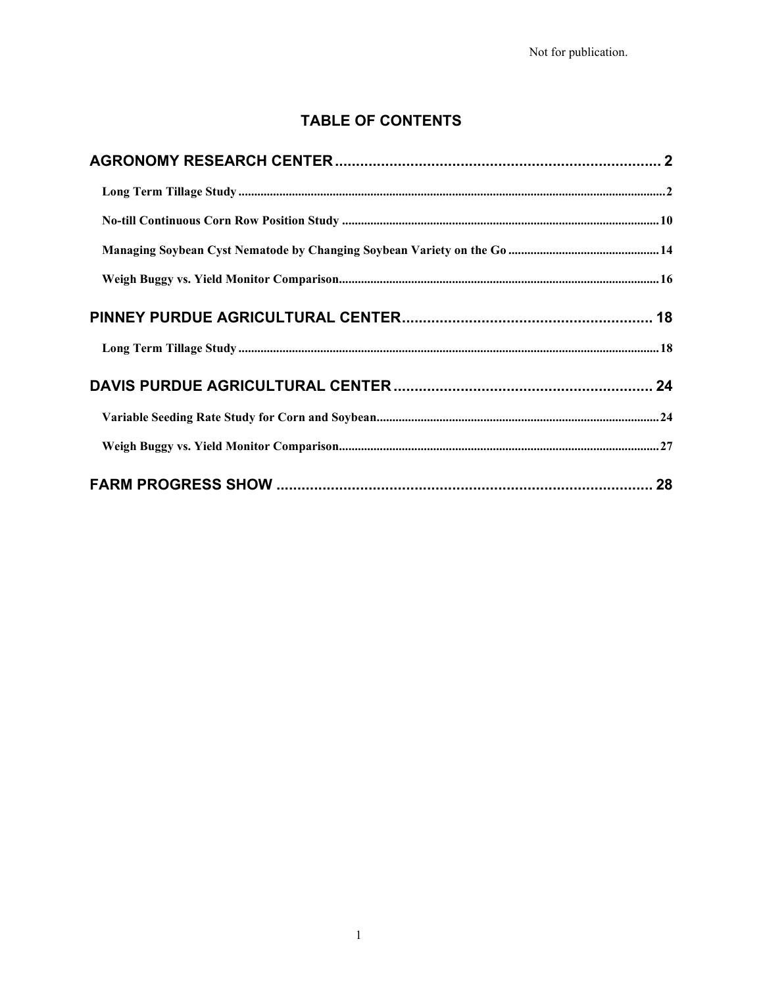# TABLE OF CONTENTS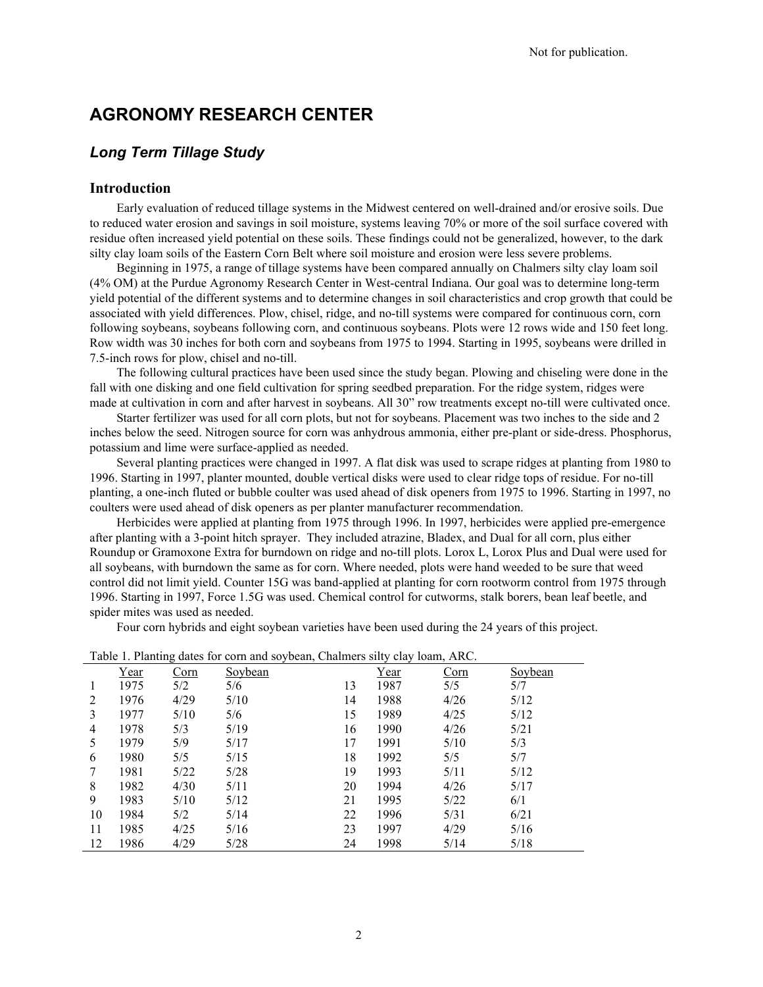# **AGRONOMY RESEARCH CENTER**

## *Long Term Tillage Study*

#### **Introduction**

Early evaluation of reduced tillage systems in the Midwest centered on well-drained and/or erosive soils. Due to reduced water erosion and savings in soil moisture, systems leaving 70% or more of the soil surface covered with residue often increased yield potential on these soils. These findings could not be generalized, however, to the dark silty clay loam soils of the Eastern Corn Belt where soil moisture and erosion were less severe problems.

Beginning in 1975, a range of tillage systems have been compared annually on Chalmers silty clay loam soil (4% OM) at the Purdue Agronomy Research Center in West-central Indiana. Our goal was to determine long-term yield potential of the different systems and to determine changes in soil characteristics and crop growth that could be associated with yield differences. Plow, chisel, ridge, and no-till systems were compared for continuous corn, corn following soybeans, soybeans following corn, and continuous soybeans. Plots were 12 rows wide and 150 feet long. Row width was 30 inches for both corn and soybeans from 1975 to 1994. Starting in 1995, soybeans were drilled in 7.5-inch rows for plow, chisel and no-till.

The following cultural practices have been used since the study began. Plowing and chiseling were done in the fall with one disking and one field cultivation for spring seedbed preparation. For the ridge system, ridges were made at cultivation in corn and after harvest in soybeans. All 30" row treatments except no-till were cultivated once.

Starter fertilizer was used for all corn plots, but not for soybeans. Placement was two inches to the side and 2 inches below the seed. Nitrogen source for corn was anhydrous ammonia, either pre-plant or side-dress. Phosphorus, potassium and lime were surface-applied as needed.

Several planting practices were changed in 1997. A flat disk was used to scrape ridges at planting from 1980 to 1996. Starting in 1997, planter mounted, double vertical disks were used to clear ridge tops of residue. For no-till planting, a one-inch fluted or bubble coulter was used ahead of disk openers from 1975 to 1996. Starting in 1997, no coulters were used ahead of disk openers as per planter manufacturer recommendation.

Herbicides were applied at planting from 1975 through 1996. In 1997, herbicides were applied pre-emergence after planting with a 3-point hitch sprayer. They included atrazine, Bladex, and Dual for all corn, plus either Roundup or Gramoxone Extra for burndown on ridge and no-till plots. Lorox L, Lorox Plus and Dual were used for all soybeans, with burndown the same as for corn. Where needed, plots were hand weeded to be sure that weed control did not limit yield. Counter 15G was band-applied at planting for corn rootworm control from 1975 through 1996. Starting in 1997, Force 1.5G was used. Chemical control for cutworms, stalk borers, bean leaf beetle, and spider mites was used as needed.

Four corn hybrids and eight soybean varieties have been used during the 24 years of this project.

|                | Table 1. I failing dates for corn and soybean, Chainlers shiy clay foain, ARC. |      |         |    |      |      |         |  |
|----------------|--------------------------------------------------------------------------------|------|---------|----|------|------|---------|--|
|                | Year                                                                           | Corn | Soybean |    | Year | Corn | Sovbean |  |
|                | 1975                                                                           | 5/2  | 5/6     | 13 | 1987 | 5/5  | 5/7     |  |
| $\mathfrak{D}$ | 1976                                                                           | 4/29 | 5/10    | 14 | 1988 | 4/26 | 5/12    |  |
| 3              | 1977                                                                           | 5/10 | 5/6     | 15 | 1989 | 4/25 | 5/12    |  |
| 4              | 1978                                                                           | 5/3  | 5/19    | 16 | 1990 | 4/26 | 5/21    |  |
| 5              | 1979                                                                           | 5/9  | 5/17    | 17 | 1991 | 5/10 | 5/3     |  |
| 6              | 1980                                                                           | 5/5  | 5/15    | 18 | 1992 | 5/5  | 5/7     |  |
|                | 1981                                                                           | 5/22 | 5/28    | 19 | 1993 | 5/11 | 5/12    |  |
| 8              | 1982                                                                           | 4/30 | 5/11    | 20 | 1994 | 4/26 | 5/17    |  |
| 9              | 1983                                                                           | 5/10 | 5/12    | 21 | 1995 | 5/22 | 6/1     |  |
| 10             | 1984                                                                           | 5/2  | 5/14    | 22 | 1996 | 5/31 | 6/21    |  |
| 11             | 1985                                                                           | 4/25 | 5/16    | 23 | 1997 | 4/29 | 5/16    |  |
| 12             | 1986                                                                           | 4/29 | 5/28    | 24 | 1998 | 5/14 | 5/18    |  |
|                |                                                                                |      |         |    |      |      |         |  |

| Table 1. Planting dates for corn and sovbean. Chalmers silty clay loam, ARC. |  |  |
|------------------------------------------------------------------------------|--|--|
|------------------------------------------------------------------------------|--|--|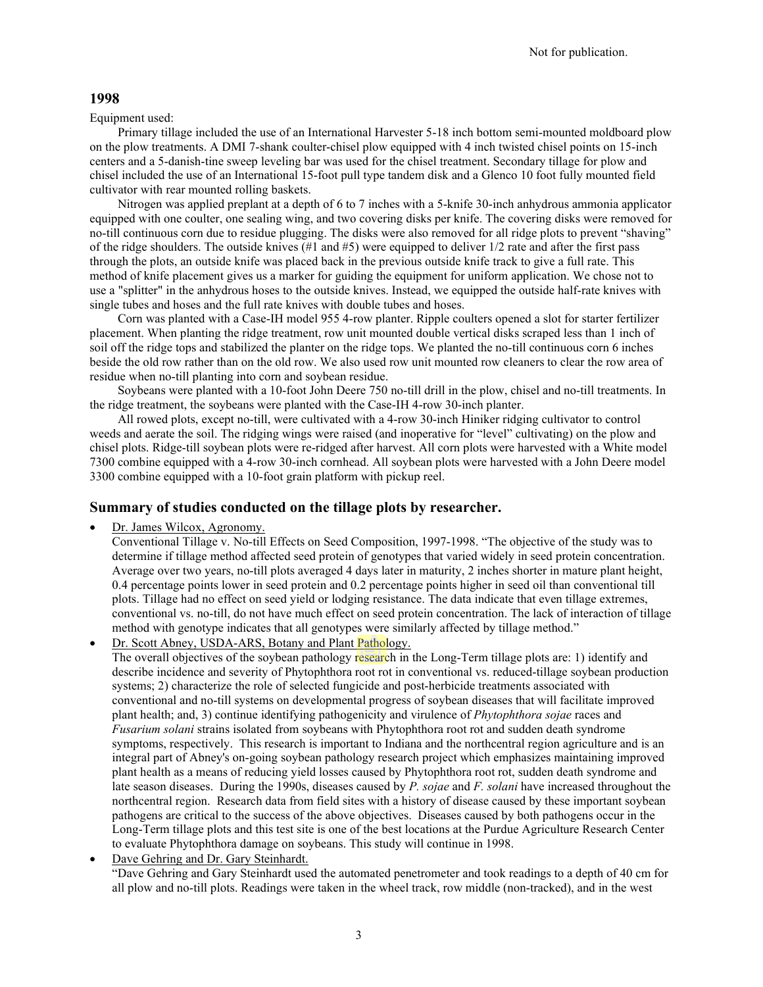#### **1998**

Equipment used:

Primary tillage included the use of an International Harvester 5-18 inch bottom semi-mounted moldboard plow on the plow treatments. A DMI 7-shank coulter-chisel plow equipped with 4 inch twisted chisel points on 15-inch centers and a 5-danish-tine sweep leveling bar was used for the chisel treatment. Secondary tillage for plow and chisel included the use of an International 15-foot pull type tandem disk and a Glenco 10 foot fully mounted field cultivator with rear mounted rolling baskets.

Nitrogen was applied preplant at a depth of 6 to 7 inches with a 5-knife 30-inch anhydrous ammonia applicator equipped with one coulter, one sealing wing, and two covering disks per knife. The covering disks were removed for no-till continuous corn due to residue plugging. The disks were also removed for all ridge plots to prevent "shaving" of the ridge shoulders. The outside knives  $(\#1 \text{ and } \#5)$  were equipped to deliver  $1/2$  rate and after the first pass through the plots, an outside knife was placed back in the previous outside knife track to give a full rate. This method of knife placement gives us a marker for guiding the equipment for uniform application. We chose not to use a "splitter" in the anhydrous hoses to the outside knives. Instead, we equipped the outside half-rate knives with single tubes and hoses and the full rate knives with double tubes and hoses.

Corn was planted with a Case-IH model 955 4-row planter. Ripple coulters opened a slot for starter fertilizer placement. When planting the ridge treatment, row unit mounted double vertical disks scraped less than 1 inch of soil off the ridge tops and stabilized the planter on the ridge tops. We planted the no-till continuous corn 6 inches beside the old row rather than on the old row. We also used row unit mounted row cleaners to clear the row area of residue when no-till planting into corn and soybean residue.

Soybeans were planted with a 10-foot John Deere 750 no-till drill in the plow, chisel and no-till treatments. In the ridge treatment, the soybeans were planted with the Case-IH 4-row 30-inch planter.

All rowed plots, except no-till, were cultivated with a 4-row 30-inch Hiniker ridging cultivator to control weeds and aerate the soil. The ridging wings were raised (and inoperative for "level" cultivating) on the plow and chisel plots. Ridge-till soybean plots were re-ridged after harvest. All corn plots were harvested with a White model 7300 combine equipped with a 4-row 30-inch cornhead. All soybean plots were harvested with a John Deere model 3300 combine equipped with a 10-foot grain platform with pickup reel.

#### **Summary of studies conducted on the tillage plots by researcher.**

Dr. James Wilcox, Agronomy.

Conventional Tillage v. No-till Effects on Seed Composition, 1997-1998. "The objective of the study was to determine if tillage method affected seed protein of genotypes that varied widely in seed protein concentration. Average over two years, no-till plots averaged 4 days later in maturity, 2 inches shorter in mature plant height, 0.4 percentage points lower in seed protein and 0.2 percentage points higher in seed oil than conventional till plots. Tillage had no effect on seed yield or lodging resistance. The data indicate that even tillage extremes, conventional vs. no-till, do not have much effect on seed protein concentration. The lack of interaction of tillage method with genotype indicates that all genotypes were similarly affected by tillage method."

- Dr. Scott Abney, USDA-ARS, Botany and Plant Pathology. The overall objectives of the soybean pathology research in the Long-Term tillage plots are: 1) identify and describe incidence and severity of Phytophthora root rot in conventional vs. reduced-tillage soybean production systems; 2) characterize the role of selected fungicide and post-herbicide treatments associated with conventional and no-till systems on developmental progress of soybean diseases that will facilitate improved plant health; and, 3) continue identifying pathogenicity and virulence of *Phytophthora sojae* races and *Fusarium solani* strains isolated from soybeans with Phytophthora root rot and sudden death syndrome symptoms, respectively. This research is important to Indiana and the northcentral region agriculture and is an integral part of Abney's on-going soybean pathology research project which emphasizes maintaining improved plant health as a means of reducing yield losses caused by Phytophthora root rot, sudden death syndrome and late season diseases. During the 1990s, diseases caused by *P. sojae* and *F. solani* have increased throughout the northcentral region. Research data from field sites with a history of disease caused by these important soybean pathogens are critical to the success of the above objectives. Diseases caused by both pathogens occur in the Long-Term tillage plots and this test site is one of the best locations at the Purdue Agriculture Research Center to evaluate Phytophthora damage on soybeans. This study will continue in 1998.
- Dave Gehring and Dr. Gary Steinhardt.

"Dave Gehring and Gary Steinhardt used the automated penetrometer and took readings to a depth of 40 cm for all plow and no-till plots. Readings were taken in the wheel track, row middle (non-tracked), and in the west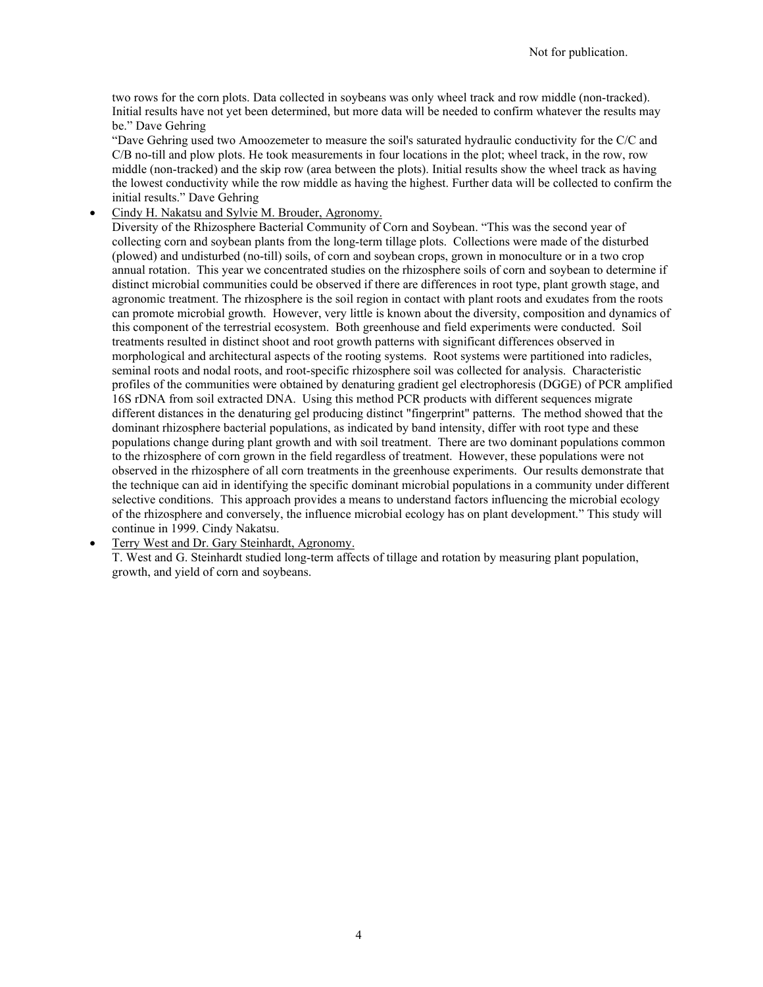two rows for the corn plots. Data collected in soybeans was only wheel track and row middle (non-tracked). Initial results have not yet been determined, but more data will be needed to confirm whatever the results may be." Dave Gehring

"Dave Gehring used two Amoozemeter to measure the soil's saturated hydraulic conductivity for the C/C and C/B no-till and plow plots. He took measurements in four locations in the plot; wheel track, in the row, row middle (non-tracked) and the skip row (area between the plots). Initial results show the wheel track as having the lowest conductivity while the row middle as having the highest. Further data will be collected to confirm the initial results." Dave Gehring

• Cindy H. Nakatsu and Sylvie M. Brouder, Agronomy.

Diversity of the Rhizosphere Bacterial Community of Corn and Soybean. "This was the second year of collecting corn and soybean plants from the long-term tillage plots. Collections were made of the disturbed (plowed) and undisturbed (no-till) soils, of corn and soybean crops, grown in monoculture or in a two crop annual rotation. This year we concentrated studies on the rhizosphere soils of corn and soybean to determine if distinct microbial communities could be observed if there are differences in root type, plant growth stage, and agronomic treatment. The rhizosphere is the soil region in contact with plant roots and exudates from the roots can promote microbial growth. However, very little is known about the diversity, composition and dynamics of this component of the terrestrial ecosystem. Both greenhouse and field experiments were conducted. Soil treatments resulted in distinct shoot and root growth patterns with significant differences observed in morphological and architectural aspects of the rooting systems. Root systems were partitioned into radicles, seminal roots and nodal roots, and root-specific rhizosphere soil was collected for analysis. Characteristic profiles of the communities were obtained by denaturing gradient gel electrophoresis (DGGE) of PCR amplified 16S rDNA from soil extracted DNA. Using this method PCR products with different sequences migrate different distances in the denaturing gel producing distinct "fingerprint" patterns. The method showed that the dominant rhizosphere bacterial populations, as indicated by band intensity, differ with root type and these populations change during plant growth and with soil treatment. There are two dominant populations common to the rhizosphere of corn grown in the field regardless of treatment. However, these populations were not observed in the rhizosphere of all corn treatments in the greenhouse experiments. Our results demonstrate that the technique can aid in identifying the specific dominant microbial populations in a community under different selective conditions. This approach provides a means to understand factors influencing the microbial ecology of the rhizosphere and conversely, the influence microbial ecology has on plant development." This study will continue in 1999. Cindy Nakatsu.

• Terry West and Dr. Gary Steinhardt, Agronomy. T. West and G. Steinhardt studied long-term affects of tillage and rotation by measuring plant population, growth, and yield of corn and soybeans.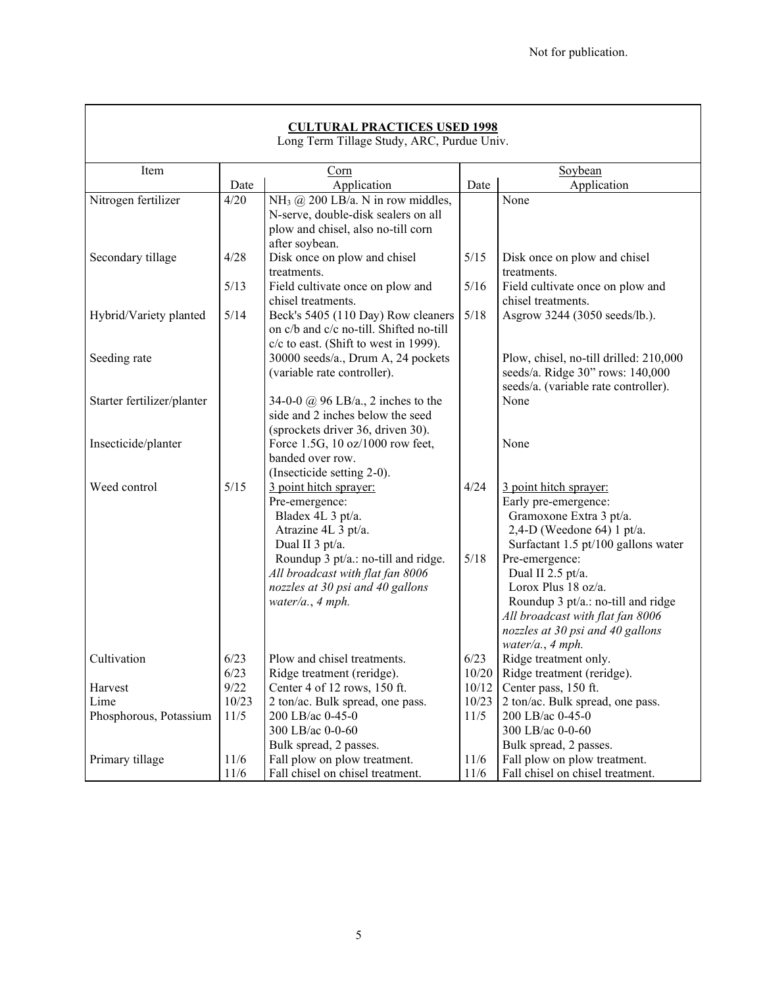| <b>CULTURAL PRACTICES USED 1998</b> |                                            |                                                                               |       |                                          |  |  |  |  |
|-------------------------------------|--------------------------------------------|-------------------------------------------------------------------------------|-------|------------------------------------------|--|--|--|--|
|                                     | Long Term Tillage Study, ARC, Purdue Univ. |                                                                               |       |                                          |  |  |  |  |
| Item                                |                                            | Corn                                                                          |       | Soybean                                  |  |  |  |  |
|                                     | Date                                       | Application                                                                   | Date  | Application                              |  |  |  |  |
| Nitrogen fertilizer                 | 4/20                                       | NH <sub>3</sub> @ 200 LB/a. N in row middles,                                 |       | None                                     |  |  |  |  |
|                                     |                                            | N-serve, double-disk sealers on all                                           |       |                                          |  |  |  |  |
|                                     |                                            | plow and chisel, also no-till corn                                            |       |                                          |  |  |  |  |
|                                     |                                            | after soybean.                                                                |       |                                          |  |  |  |  |
| Secondary tillage                   | 4/28                                       | Disk once on plow and chisel                                                  | 5/15  | Disk once on plow and chisel             |  |  |  |  |
|                                     |                                            | treatments.                                                                   |       | treatments.                              |  |  |  |  |
|                                     | 5/13                                       | Field cultivate once on plow and                                              | 5/16  | Field cultivate once on plow and         |  |  |  |  |
|                                     |                                            | chisel treatments.                                                            |       | chisel treatments.                       |  |  |  |  |
| Hybrid/Variety planted              | 5/14                                       | Beck's 5405 (110 Day) Row cleaners<br>on c/b and c/c no-till. Shifted no-till | 5/18  | Asgrow 3244 (3050 seeds/lb.).            |  |  |  |  |
|                                     |                                            | c/c to east. (Shift to west in 1999).                                         |       |                                          |  |  |  |  |
| Seeding rate                        |                                            | 30000 seeds/a., Drum A, 24 pockets                                            |       | Plow, chisel, no-till drilled: 210,000   |  |  |  |  |
|                                     |                                            | (variable rate controller).                                                   |       | seeds/a. Ridge 30" rows: 140,000         |  |  |  |  |
|                                     |                                            |                                                                               |       | seeds/a. (variable rate controller).     |  |  |  |  |
| Starter fertilizer/planter          |                                            | 34-0-0 $@$ 96 LB/a., 2 inches to the                                          |       | None                                     |  |  |  |  |
|                                     |                                            | side and 2 inches below the seed                                              |       |                                          |  |  |  |  |
|                                     |                                            | (sprockets driver 36, driven 30).                                             |       |                                          |  |  |  |  |
| Insecticide/planter                 |                                            | Force 1.5G, 10 oz/1000 row feet,                                              |       | None                                     |  |  |  |  |
|                                     |                                            | banded over row.                                                              |       |                                          |  |  |  |  |
|                                     |                                            | (Insecticide setting 2-0).                                                    |       |                                          |  |  |  |  |
| Weed control                        | $5/15$                                     | 3 point hitch sprayer:                                                        | 4/24  | 3 point hitch sprayer:                   |  |  |  |  |
|                                     |                                            | Pre-emergence:                                                                |       | Early pre-emergence:                     |  |  |  |  |
|                                     |                                            | Bladex 4L 3 pt/a.                                                             |       | Gramoxone Extra 3 pt/a.                  |  |  |  |  |
|                                     |                                            | Atrazine 4L 3 pt/a.                                                           |       | 2,4-D (Weedone 64) 1 pt/a.               |  |  |  |  |
|                                     |                                            | Dual II $3$ pt/a.                                                             |       | Surfactant 1.5 pt/100 gallons water      |  |  |  |  |
|                                     |                                            | Roundup 3 pt/a.: no-till and ridge.                                           | 5/18  | Pre-emergence:                           |  |  |  |  |
|                                     |                                            | All broadcast with flat fan 8006                                              |       | Dual II 2.5 pt/a.<br>Lorox Plus 18 oz/a. |  |  |  |  |
|                                     |                                            | nozzles at 30 psi and 40 gallons<br>water/a., 4 mph.                          |       | Roundup 3 pt/a.: no-till and ridge       |  |  |  |  |
|                                     |                                            |                                                                               |       | All broadcast with flat fan 8006         |  |  |  |  |
|                                     |                                            |                                                                               |       | nozzles at 30 psi and 40 gallons         |  |  |  |  |
|                                     |                                            |                                                                               |       | water/a., 4 mph.                         |  |  |  |  |
| Cultivation                         | 6/23                                       | Plow and chisel treatments.                                                   | 6/23  | Ridge treatment only.                    |  |  |  |  |
|                                     | 6/23                                       | Ridge treatment (reridge).                                                    | 10/20 | Ridge treatment (reridge).               |  |  |  |  |
| Harvest                             | 9/22                                       | Center 4 of 12 rows, 150 ft.                                                  | 10/12 | Center pass, 150 ft.                     |  |  |  |  |
| Lime                                | 10/23                                      | 2 ton/ac. Bulk spread, one pass.                                              | 10/23 | 2 ton/ac. Bulk spread, one pass.         |  |  |  |  |
| Phosphorous, Potassium              | 11/5                                       | 200 LB/ac 0-45-0                                                              | 11/5  | 200 LB/ac 0-45-0                         |  |  |  |  |
|                                     |                                            | 300 LB/ac 0-0-60                                                              |       | 300 LB/ac 0-0-60                         |  |  |  |  |
|                                     |                                            | Bulk spread, 2 passes.                                                        |       | Bulk spread, 2 passes.                   |  |  |  |  |
| Primary tillage                     | 11/6                                       | Fall plow on plow treatment.                                                  | 11/6  | Fall plow on plow treatment.             |  |  |  |  |
|                                     | 11/6                                       | Fall chisel on chisel treatment.                                              | 11/6  | Fall chisel on chisel treatment.         |  |  |  |  |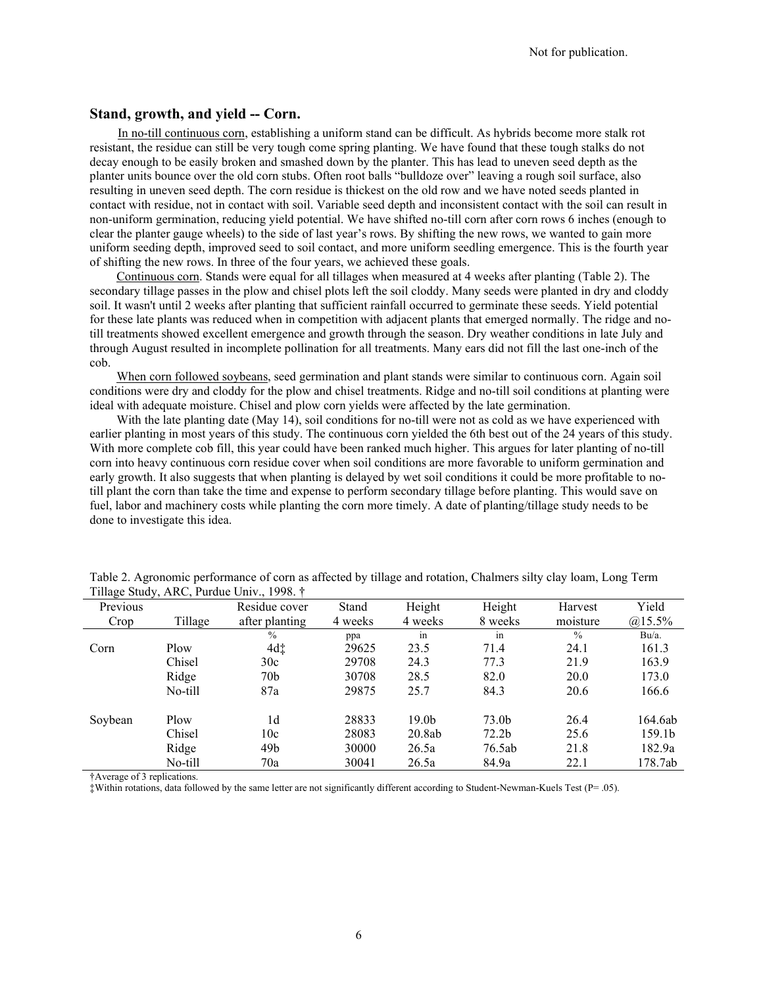#### **Stand, growth, and yield -- Corn.**

In no-till continuous corn, establishing a uniform stand can be difficult. As hybrids become more stalk rot resistant, the residue can still be very tough come spring planting. We have found that these tough stalks do not decay enough to be easily broken and smashed down by the planter. This has lead to uneven seed depth as the planter units bounce over the old corn stubs. Often root balls "bulldoze over" leaving a rough soil surface, also resulting in uneven seed depth. The corn residue is thickest on the old row and we have noted seeds planted in contact with residue, not in contact with soil. Variable seed depth and inconsistent contact with the soil can result in non-uniform germination, reducing yield potential. We have shifted no-till corn after corn rows 6 inches (enough to clear the planter gauge wheels) to the side of last year's rows. By shifting the new rows, we wanted to gain more uniform seeding depth, improved seed to soil contact, and more uniform seedling emergence. This is the fourth year of shifting the new rows. In three of the four years, we achieved these goals.

Continuous corn. Stands were equal for all tillages when measured at 4 weeks after planting (Table 2). The secondary tillage passes in the plow and chisel plots left the soil cloddy. Many seeds were planted in dry and cloddy soil. It wasn't until 2 weeks after planting that sufficient rainfall occurred to germinate these seeds. Yield potential for these late plants was reduced when in competition with adjacent plants that emerged normally. The ridge and notill treatments showed excellent emergence and growth through the season. Dry weather conditions in late July and through August resulted in incomplete pollination for all treatments. Many ears did not fill the last one-inch of the cob.

When corn followed soybeans, seed germination and plant stands were similar to continuous corn. Again soil conditions were dry and cloddy for the plow and chisel treatments. Ridge and no-till soil conditions at planting were ideal with adequate moisture. Chisel and plow corn yields were affected by the late germination.

With the late planting date (May 14), soil conditions for no-till were not as cold as we have experienced with earlier planting in most years of this study. The continuous corn yielded the 6th best out of the 24 years of this study. With more complete cob fill, this year could have been ranked much higher. This argues for later planting of no-till corn into heavy continuous corn residue cover when soil conditions are more favorable to uniform germination and early growth. It also suggests that when planting is delayed by wet soil conditions it could be more profitable to notill plant the corn than take the time and expense to perform secondary tillage before planting. This would save on fuel, labor and machinery costs while planting the corn more timely. A date of planting/tillage study needs to be done to investigate this idea.

|          | $1 \text{ mag}$ c bludy, $1 \text{ HCC}$ , I thuge Office, $1770$ . |                 |         |                   |                   |               |           |  |
|----------|---------------------------------------------------------------------|-----------------|---------|-------------------|-------------------|---------------|-----------|--|
| Previous |                                                                     | Residue cover   | Stand   | Height            | Height            | Harvest       | Yield     |  |
| Crop     | Tillage                                                             | after planting  | 4 weeks | 4 weeks           | 8 weeks           | moisture      | $@15.5\%$ |  |
|          |                                                                     | $\frac{0}{0}$   | ppa     | 1n                | in                | $\frac{0}{0}$ | Bu/a.     |  |
| Corn     | Plow                                                                | $4d\ddagger$    | 29625   | 23.5              | 71.4              | 24.1          | 161.3     |  |
|          | Chisel                                                              | 30c             | 29708   | 24.3              | 77.3              | 21.9          | 163.9     |  |
|          | Ridge                                                               | 70 <sub>b</sub> | 30708   | 28.5              | 82.0              | 20.0          | 173.0     |  |
|          | No-till                                                             | 87a             | 29875   | 25.7              | 84.3              | 20.6          | 166.6     |  |
| Soybean  | Plow                                                                | 1d              | 28833   | 19.0 <sub>b</sub> | 73.0b             | 26.4          | 164.6ab   |  |
|          | Chisel                                                              | 10c             | 28083   | 20.8ab            | 72.2 <sub>b</sub> | 25.6          | 159.1b    |  |
|          | Ridge                                                               | 49 <sub>b</sub> | 30000   | 26.5a             | 76.5ab            | 21.8          | 182.9a    |  |
|          | No-till                                                             | 70a             | 30041   | 26.5a             | 84.9a             | 22.1          | 178.7ab   |  |
|          |                                                                     |                 |         |                   |                   |               |           |  |

Table 2. Agronomic performance of corn as affected by tillage and rotation, Chalmers silty clay loam, Long Term Tillage Study, ARC, Purdue Univ., 1998. †

†Average of 3 replications.

‡Within rotations, data followed by the same letter are not significantly different according to Student-Newman-Kuels Test (P= .05).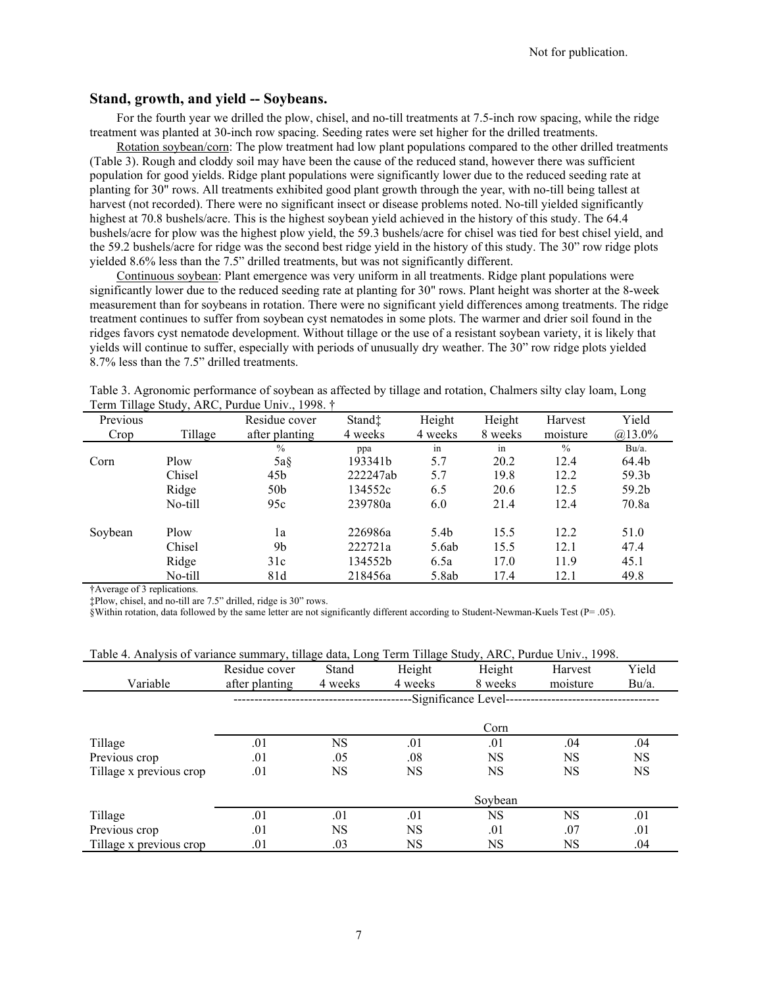#### **Stand, growth, and yield -- Soybeans.**

For the fourth year we drilled the plow, chisel, and no-till treatments at 7.5-inch row spacing, while the ridge treatment was planted at 30-inch row spacing. Seeding rates were set higher for the drilled treatments.

Rotation soybean/corn: The plow treatment had low plant populations compared to the other drilled treatments (Table 3). Rough and cloddy soil may have been the cause of the reduced stand, however there was sufficient population for good yields. Ridge plant populations were significantly lower due to the reduced seeding rate at planting for 30" rows. All treatments exhibited good plant growth through the year, with no-till being tallest at harvest (not recorded). There were no significant insect or disease problems noted. No-till yielded significantly highest at 70.8 bushels/acre. This is the highest soybean yield achieved in the history of this study. The 64.4 bushels/acre for plow was the highest plow yield, the 59.3 bushels/acre for chisel was tied for best chisel yield, and the 59.2 bushels/acre for ridge was the second best ridge yield in the history of this study. The 30" row ridge plots yielded 8.6% less than the 7.5" drilled treatments, but was not significantly different.

Continuous soybean: Plant emergence was very uniform in all treatments. Ridge plant populations were significantly lower due to the reduced seeding rate at planting for 30" rows. Plant height was shorter at the 8-week measurement than for soybeans in rotation. There were no significant yield differences among treatments. The ridge treatment continues to suffer from soybean cyst nematodes in some plots. The warmer and drier soil found in the ridges favors cyst nematode development. Without tillage or the use of a resistant soybean variety, it is likely that yields will continue to suffer, especially with periods of unusually dry weather. The 30" row ridge plots yielded 8.7% less than the 7.5" drilled treatments.

| Table 3. Agronomic performance of soybean as affected by tillage and rotation, Chalmers silty clay loam, Long |  |  |
|---------------------------------------------------------------------------------------------------------------|--|--|
| Term Tillage Study, ARC, Purdue Univ., 1998. †                                                                |  |  |

| Previous |         | Residue cover   | Stand <sup>†</sup> | Height           | Height  | Harvest       | Yield             |
|----------|---------|-----------------|--------------------|------------------|---------|---------------|-------------------|
| Crop     | Tillage | after planting  | 4 weeks            | 4 weeks          | 8 weeks | moisture      | $@13.0\%$         |
|          |         | $\%$            | ppa                | in               | in      | $\frac{0}{0}$ | Bu/a.             |
| Corn     | Plow    | $5a\$           | 193341b            | 5.7              | 20.2    | 12.4          | 64.4b             |
|          | Chisel  | 45 <sub>b</sub> | 222247ab           | 5.7              | 19.8    | 12.2          | 59.3 <sub>b</sub> |
|          | Ridge   | 50 <sub>b</sub> | 134552c            | 6.5              | 20.6    | 12.5          | 59.2 <sub>b</sub> |
|          | No-till | 95c             | 239780a            | 6.0              | 21.4    | 12.4          | 70.8a             |
| Soybean  | Plow    | 1a              | 226986a            | 5.4 <sub>b</sub> | 15.5    | 12.2          | 51.0              |
|          | Chisel  | 9 <sub>b</sub>  | 222721a            | 5.6ab            | 15.5    | 12.1          | 47.4              |
|          | Ridge   | 31c             | 134552b            | 6.5a             | 17.0    | 11.9          | 45.1              |
|          | No-till | 81d             | 218456a            | 5.8ab            | 17.4    | 12.1          | 49.8              |

†Average of 3 replications.

‡Plow, chisel, and no-till are 7.5" drilled, ridge is 30" rows.

§Within rotation, data followed by the same letter are not significantly different according to Student-Newman-Kuels Test (P= .05).

| Tuote 1. Tinaryois of variance summary, unage aaia, Long Term Tinage Staay, Tires, I araac Omv., 1990. |                |         |           |                         |           |           |  |
|--------------------------------------------------------------------------------------------------------|----------------|---------|-----------|-------------------------|-----------|-----------|--|
|                                                                                                        | Residue cover  | Stand   | Height    | Height                  | Harvest   | Yield     |  |
| Variable                                                                                               | after planting | 4 weeks | 4 weeks   | 8 weeks                 | moisture  | Bu/a.     |  |
|                                                                                                        |                |         |           | --Significance Level--- |           |           |  |
|                                                                                                        |                |         |           |                         |           |           |  |
|                                                                                                        |                |         |           | Corn                    |           |           |  |
| Tillage                                                                                                | .01            | NS      | .01       | .01                     | .04       | .04       |  |
| Previous crop                                                                                          | .01            | .05     | .08       | <b>NS</b>               | <b>NS</b> | <b>NS</b> |  |
| Tillage x previous crop                                                                                | .01            | NS      | <b>NS</b> | <b>NS</b>               | <b>NS</b> | <b>NS</b> |  |
|                                                                                                        |                |         |           | Soybean                 |           |           |  |
| Tillage                                                                                                | .01            | .01     | .01       | NS                      | <b>NS</b> | .01       |  |
|                                                                                                        |                |         |           |                         |           |           |  |
| Previous crop                                                                                          | .01            | NS      | <b>NS</b> | .01                     | .07       | .01       |  |
| Tillage x previous crop                                                                                | .01            | .03     | NS        | NS                      | NS        | .04       |  |

| Table 4. Analysis of variance summary, tillage data, Long Term Tillage Study, ARC, Purdue Univ., 1998. |  |  |  |
|--------------------------------------------------------------------------------------------------------|--|--|--|
|                                                                                                        |  |  |  |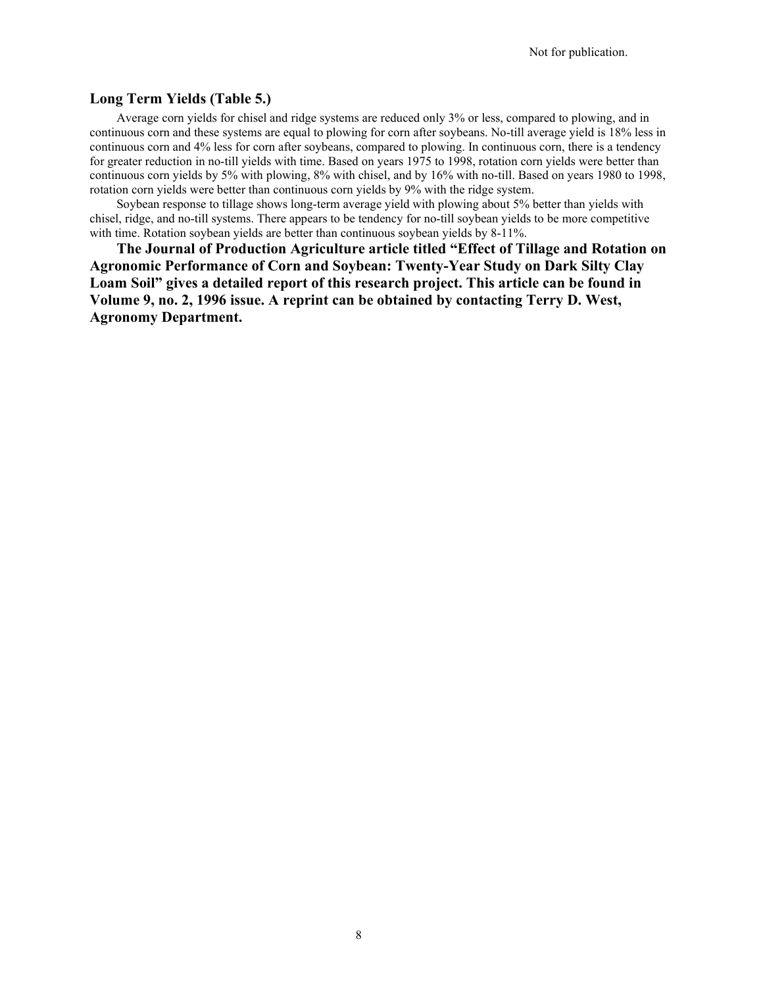#### **Long Term Yields (Table 5.)**

Average corn yields for chisel and ridge systems are reduced only 3% or less, compared to plowing, and in continuous corn and these systems are equal to plowing for corn after soybeans. No-till average yield is 18% less in continuous corn and 4% less for corn after soybeans, compared to plowing. In continuous corn, there is a tendency for greater reduction in no-till yields with time. Based on years 1975 to 1998, rotation corn yields were better than continuous corn yields by 5% with plowing, 8% with chisel, and by 16% with no-till. Based on years 1980 to 1998, rotation corn yields were better than continuous corn yields by 9% with the ridge system.

Soybean response to tillage shows long-term average yield with plowing about 5% better than yields with chisel, ridge, and no-till systems. There appears to be tendency for no-till soybean yields to be more competitive with time. Rotation soybean yields are better than continuous soybean yields by 8-11%.

**The Journal of Production Agriculture article titled "Effect of Tillage and Rotation on Agronomic Performance of Corn and Soybean: Twenty-Year Study on Dark Silty Clay Loam Soil" gives a detailed report of this research project. This article can be found in Volume 9, no. 2, 1996 issue. A reprint can be obtained by contacting Terry D. West, Agronomy Department.**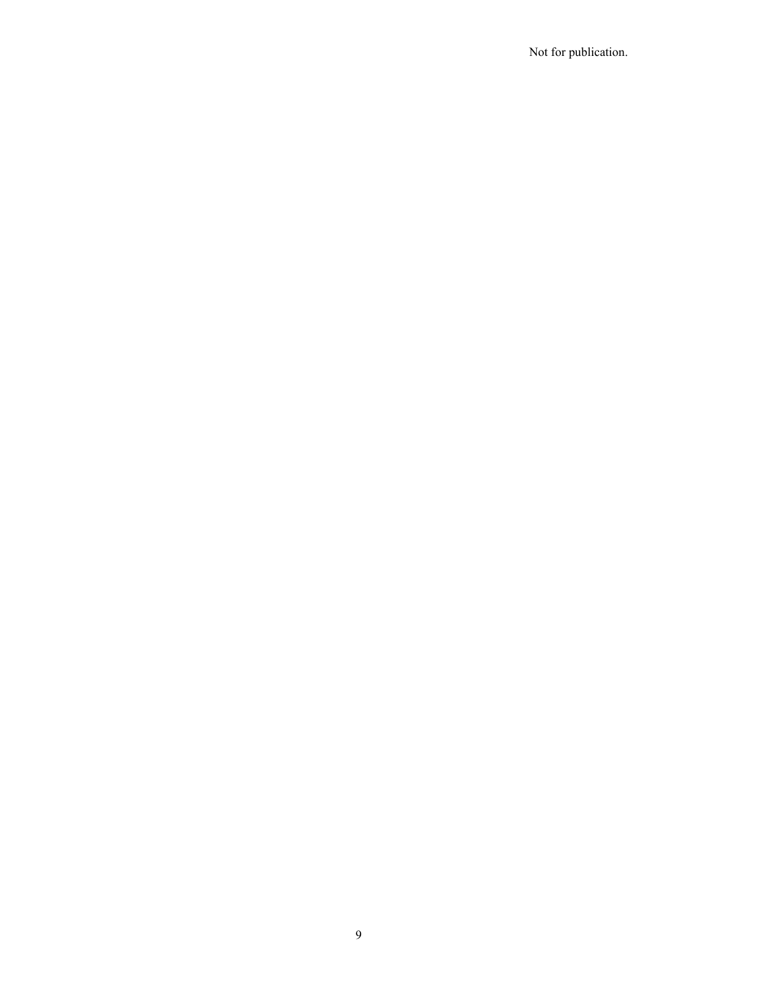Not for publication.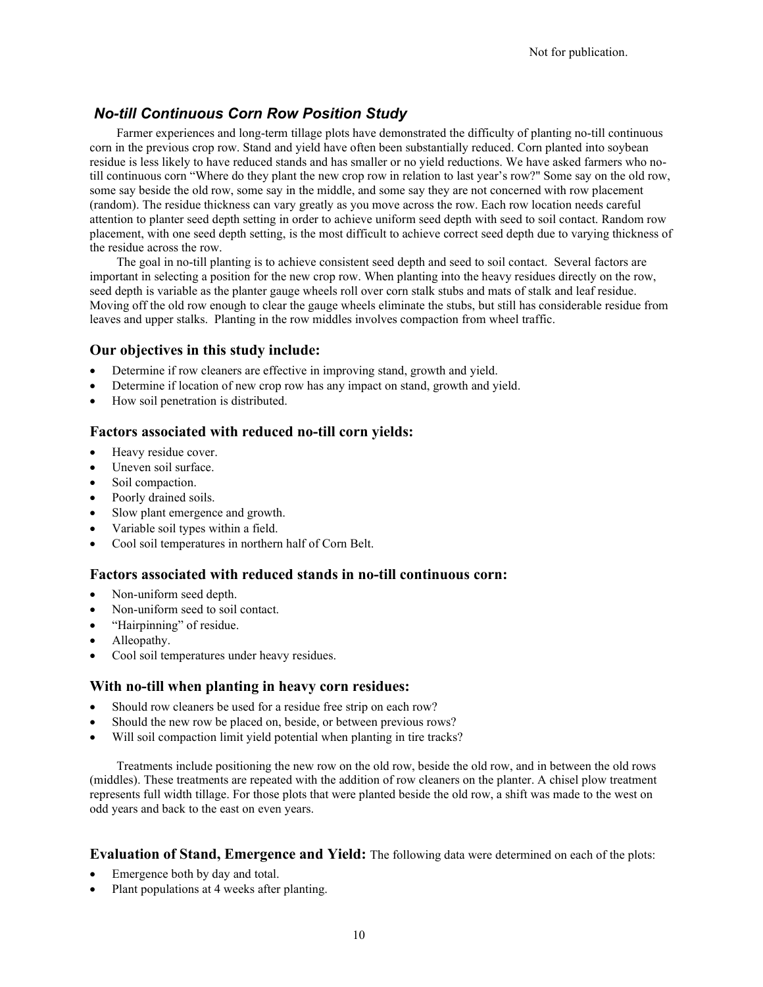# *No-till Continuous Corn Row Position Study*

Farmer experiences and long-term tillage plots have demonstrated the difficulty of planting no-till continuous corn in the previous crop row. Stand and yield have often been substantially reduced. Corn planted into soybean residue is less likely to have reduced stands and has smaller or no yield reductions. We have asked farmers who notill continuous corn "Where do they plant the new crop row in relation to last year's row?" Some say on the old row, some say beside the old row, some say in the middle, and some say they are not concerned with row placement (random). The residue thickness can vary greatly as you move across the row. Each row location needs careful attention to planter seed depth setting in order to achieve uniform seed depth with seed to soil contact. Random row placement, with one seed depth setting, is the most difficult to achieve correct seed depth due to varying thickness of the residue across the row.

The goal in no-till planting is to achieve consistent seed depth and seed to soil contact. Several factors are important in selecting a position for the new crop row. When planting into the heavy residues directly on the row, seed depth is variable as the planter gauge wheels roll over corn stalk stubs and mats of stalk and leaf residue. Moving off the old row enough to clear the gauge wheels eliminate the stubs, but still has considerable residue from leaves and upper stalks. Planting in the row middles involves compaction from wheel traffic.

### **Our objectives in this study include:**

- Determine if row cleaners are effective in improving stand, growth and yield.
- Determine if location of new crop row has any impact on stand, growth and yield.
- How soil penetration is distributed.

### **Factors associated with reduced no-till corn yields:**

- Heavy residue cover.
- Uneven soil surface.
- Soil compaction.
- Poorly drained soils.
- Slow plant emergence and growth.
- Variable soil types within a field.
- Cool soil temperatures in northern half of Corn Belt.

### **Factors associated with reduced stands in no-till continuous corn:**

- Non-uniform seed depth.
- Non-uniform seed to soil contact.
- "Hairpinning" of residue.
- Alleopathy.
- Cool soil temperatures under heavy residues.

### **With no-till when planting in heavy corn residues:**

- Should row cleaners be used for a residue free strip on each row?
- Should the new row be placed on, beside, or between previous rows?
- Will soil compaction limit yield potential when planting in tire tracks?

Treatments include positioning the new row on the old row, beside the old row, and in between the old rows (middles). These treatments are repeated with the addition of row cleaners on the planter. A chisel plow treatment represents full width tillage. For those plots that were planted beside the old row, a shift was made to the west on odd years and back to the east on even years.

**Evaluation of Stand, Emergence and Yield:** The following data were determined on each of the plots:

- Emergence both by day and total.
- Plant populations at 4 weeks after planting.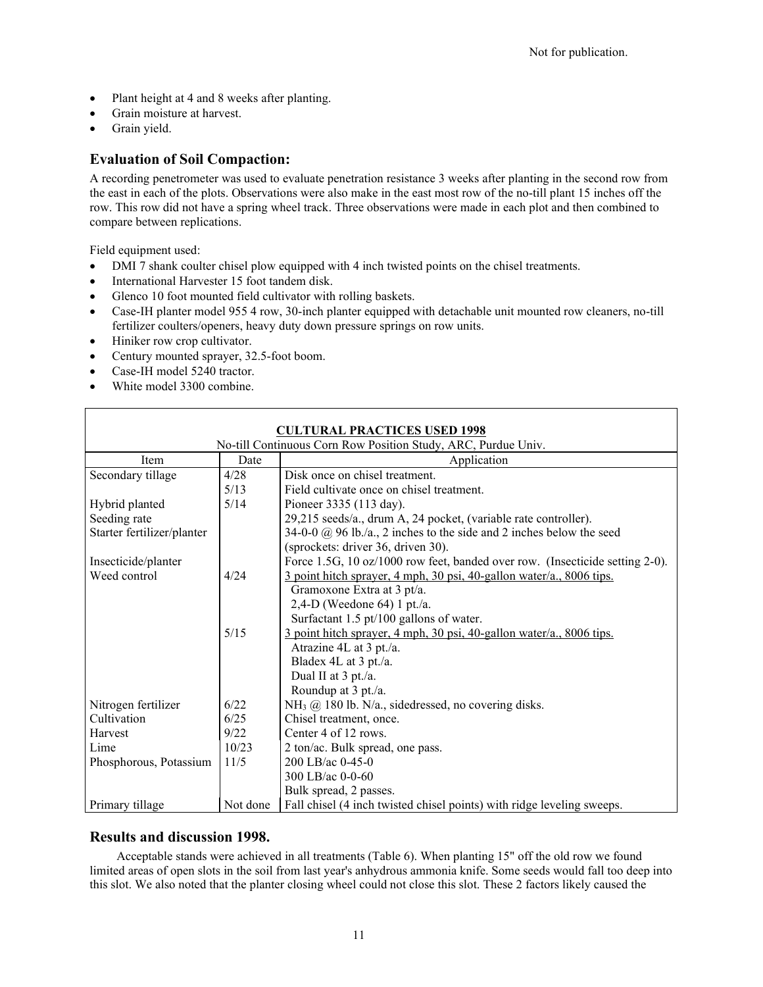- Plant height at 4 and 8 weeks after planting.
- Grain moisture at harvest.
- Grain yield.

### **Evaluation of Soil Compaction:**

A recording penetrometer was used to evaluate penetration resistance 3 weeks after planting in the second row from the east in each of the plots. Observations were also make in the east most row of the no-till plant 15 inches off the row. This row did not have a spring wheel track. Three observations were made in each plot and then combined to compare between replications.

Field equipment used:

- DMI 7 shank coulter chisel plow equipped with 4 inch twisted points on the chisel treatments.
- International Harvester 15 foot tandem disk.
- Glenco 10 foot mounted field cultivator with rolling baskets.
- Case-IH planter model 955 4 row, 30-inch planter equipped with detachable unit mounted row cleaners, no-till fertilizer coulters/openers, heavy duty down pressure springs on row units.
- Hiniker row crop cultivator.
- Century mounted sprayer, 32.5-foot boom.
- Case-IH model 5240 tractor.
- White model 3300 combine.

|                            |          | <b>CULTURAL PRACTICES USED 1998</b>                                          |
|----------------------------|----------|------------------------------------------------------------------------------|
|                            |          | No-till Continuous Corn Row Position Study, ARC, Purdue Univ.                |
| Item                       | Date     | Application                                                                  |
| Secondary tillage          | 4/28     | Disk once on chisel treatment.                                               |
|                            | 5/13     | Field cultivate once on chisel treatment.                                    |
| Hybrid planted             | 5/14     | Pioneer 3335 (113 day).                                                      |
| Seeding rate               |          | 29,215 seeds/a., drum A, 24 pocket, (variable rate controller).              |
| Starter fertilizer/planter |          | 34-0-0 $\omega$ 96 lb./a., 2 inches to the side and 2 inches below the seed  |
|                            |          | (sprockets: driver 36, driven 30).                                           |
| Insecticide/planter        |          | Force 1.5G, 10 oz/1000 row feet, banded over row. (Insecticide setting 2-0). |
| Weed control               | 4/24     | 3 point hitch sprayer, 4 mph, 30 psi, 40-gallon water/a., 8006 tips.         |
|                            |          | Gramoxone Extra at 3 pt/a.                                                   |
|                            |          | 2,4-D (Weedone 64) 1 pt./a.                                                  |
|                            |          | Surfactant 1.5 pt/100 gallons of water.                                      |
|                            | 5/15     | 3 point hitch sprayer, 4 mph, 30 psi, 40-gallon water/a., 8006 tips.         |
|                            |          | Atrazine 4L at 3 pt./a.                                                      |
|                            |          | Bladex 4L at 3 pt./a.                                                        |
|                            |          | Dual II at 3 pt./a.                                                          |
|                            |          | Roundup at 3 pt./a.                                                          |
| Nitrogen fertilizer        | 6/22     | NH <sub>3</sub> @ 180 lb. N/a., sidedressed, no covering disks.              |
| Cultivation                | 6/25     | Chisel treatment, once.                                                      |
| Harvest                    | 9/22     | Center 4 of 12 rows.                                                         |
| Lime                       | 10/23    | 2 ton/ac. Bulk spread, one pass.                                             |
| Phosphorous, Potassium     | 11/5     | $200$ LB/ac 0-45-0                                                           |
|                            |          | 300 LB/ac 0-0-60                                                             |
|                            |          | Bulk spread, 2 passes.                                                       |
| Primary tillage            | Not done | Fall chisel (4 inch twisted chisel points) with ridge leveling sweeps.       |

### **Results and discussion 1998.**

Acceptable stands were achieved in all treatments (Table 6). When planting 15" off the old row we found limited areas of open slots in the soil from last year's anhydrous ammonia knife. Some seeds would fall too deep into this slot. We also noted that the planter closing wheel could not close this slot. These 2 factors likely caused the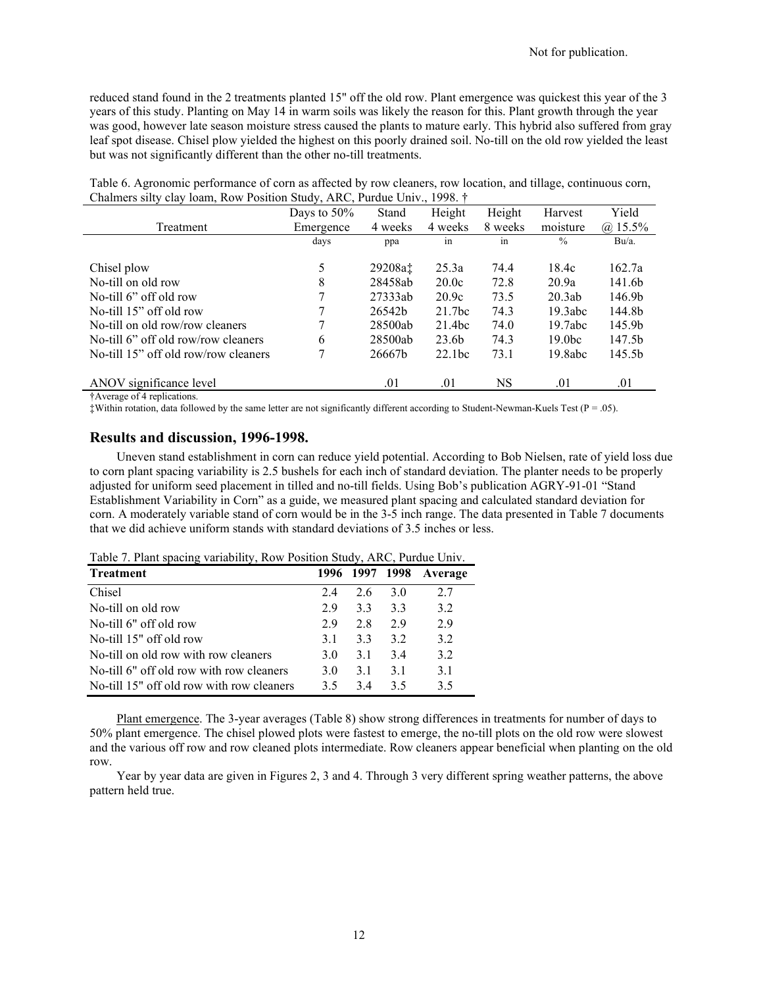reduced stand found in the 2 treatments planted 15" off the old row. Plant emergence was quickest this year of the 3 years of this study. Planting on May 14 in warm soils was likely the reason for this. Plant growth through the year was good, however late season moisture stress caused the plants to mature early. This hybrid also suffered from gray leaf spot disease. Chisel plow yielded the highest on this poorly drained soil. No-till on the old row yielded the least but was not significantly different than the other no-till treatments.

| Table 6. Agronomic performance of corn as affected by row cleaners, row location, and tillage, continuous corn, |
|-----------------------------------------------------------------------------------------------------------------|
| Chalmers silty clay loam, Row Position Study, ARC, Purdue Univ., 1998. †                                        |

| Days to $50\%$ | Stand   | Height             | Height  | Harvest            | Yield                 |
|----------------|---------|--------------------|---------|--------------------|-----------------------|
| Emergence      | 4 weeks | 4 weeks            | 8 weeks | moisture           | ( <i>a</i> ) $15.5\%$ |
| days           | ppa     | 1n                 | in      | $\frac{0}{0}$      | Bu/a.                 |
|                |         |                    |         |                    |                       |
|                |         | 25.3a              | 74.4    | 18.4c              | 162.7a                |
| 8              | 28458ab | 20.0c              | 72.8    | 20.9a              | 141.6b                |
|                | 27333ab | 20.9c              | 73.5    | 20.3ab             | 146.9b                |
|                | 26542b  | 21.7 <sub>bc</sub> | 74.3    | 19.3abc            | 144.8b                |
|                | 28500ab | 21.4 <sub>bc</sub> | 74.0    | 19.7abc            | 145.9b                |
| 6              | 28500ab | 23.6b              | 74.3    | 19.0 <sub>bc</sub> | 147.5b                |
|                | 26667b  | 22.1 <sub>bc</sub> | 73.1    | 19.8abc            | 145.5b                |
|                |         |                    |         |                    |                       |
|                | .01     | .01                | NS      | .01                | .01                   |
|                |         | 29208a‡            |         |                    |                       |

†Average of 4 replications.

 $\ddagger$ Within rotation, data followed by the same letter are not significantly different according to Student-Newman-Kuels Test (P = .05).

#### **Results and discussion, 1996-1998.**

Uneven stand establishment in corn can reduce yield potential. According to Bob Nielsen, rate of yield loss due to corn plant spacing variability is 2.5 bushels for each inch of standard deviation. The planter needs to be properly adjusted for uniform seed placement in tilled and no-till fields. Using Bob's publication AGRY-91-01 "Stand Establishment Variability in Corn" as a guide, we measured plant spacing and calculated standard deviation for corn. A moderately variable stand of corn would be in the 3-5 inch range. The data presented in Table 7 documents that we did achieve uniform stands with standard deviations of 3.5 inches or less.

| Table 7. Plant spacing variability, Row Position Study, ARC, Purdue Univ. |  |
|---------------------------------------------------------------------------|--|
|---------------------------------------------------------------------------|--|

| <b>Treatment</b>                          |     | 1996 1997 1998 |     | Average |
|-------------------------------------------|-----|----------------|-----|---------|
| Chisel                                    | 2.4 | 2.6            | 3.0 | 2.7     |
| No-till on old row                        | 2.9 | 3.3            | 3.3 | 3.2     |
| No-till 6" off old row                    | 2.9 | 2.8            | 2.9 | 2.9     |
| No-till 15" off old row                   | 3.1 | 3.3            | 3.2 | 3.2     |
| No-till on old row with row cleaners      | 3.0 | 3.1            | 3.4 | 3.2     |
| No-till 6" off old row with row cleaners  | 3.0 | 3.1            | 3.1 | 3.1     |
| No-till 15" off old row with row cleaners | 35  | 34             | 35  | 3.5     |

Plant emergence. The 3-year averages (Table 8) show strong differences in treatments for number of days to 50% plant emergence. The chisel plowed plots were fastest to emerge, the no-till plots on the old row were slowest and the various off row and row cleaned plots intermediate. Row cleaners appear beneficial when planting on the old row.

Year by year data are given in Figures 2, 3 and 4. Through 3 very different spring weather patterns, the above pattern held true.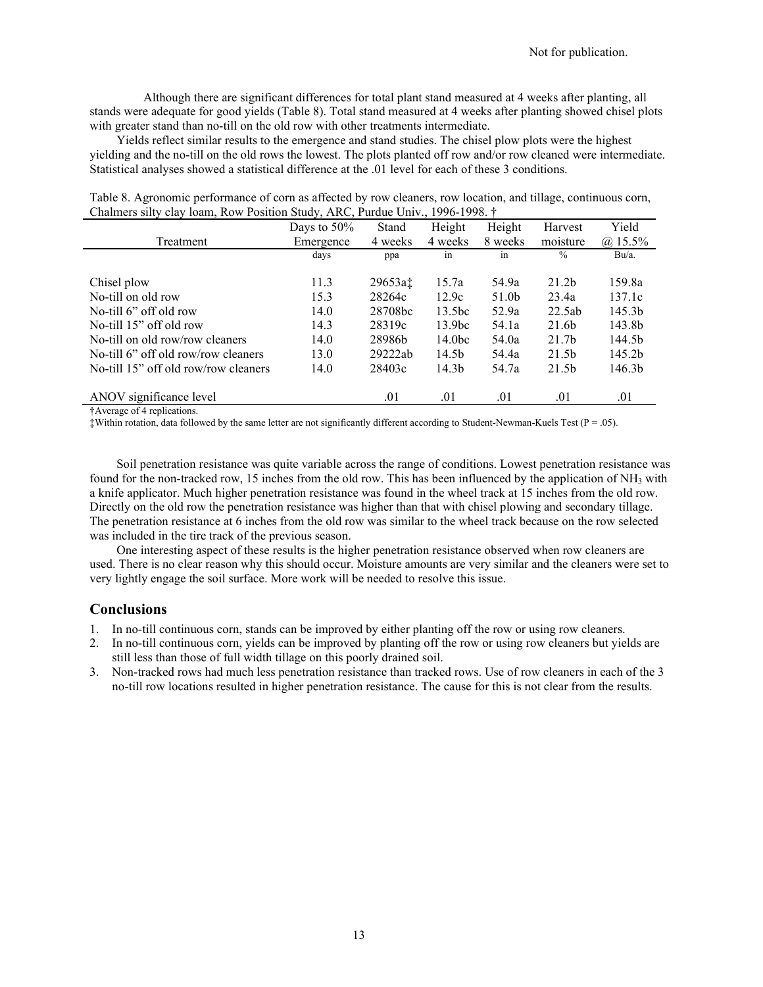Although there are significant differences for total plant stand measured at 4 weeks after planting, all stands were adequate for good yields (Table 8). Total stand measured at 4 weeks after planting showed chisel plots with greater stand than no-till on the old row with other treatments intermediate.

Yields reflect similar results to the emergence and stand studies. The chisel plow plots were the highest yielding and the no-till on the old rows the lowest. The plots planted off row and/or row cleaned were intermediate. Statistical analyses showed a statistical difference at the .01 level for each of these 3 conditions.

|                                      | Days to $50\%$ | Stand   | Height             | Height  | Harvest           | Yield              |
|--------------------------------------|----------------|---------|--------------------|---------|-------------------|--------------------|
| Treatment                            | Emergence      | 4 weeks | 4 weeks            | 8 weeks | moisture          | $(a)$ 15.5%        |
|                                      | days           | ppa     | in                 | in      | $\frac{0}{0}$     | Bu/a.              |
|                                      |                |         |                    |         |                   |                    |
| Chisel plow                          | 11.3           | 29653a‡ | 15.7a              | 54.9a   | 21.2 <sub>b</sub> | 159.8a             |
| No-till on old row                   | 15.3           | 28264c  | 12.9c              | 51.0b   | 23.4a             | 137.1c             |
| No-till 6" off old row               | 14.0           | 28708bc | 13.5 <sub>bc</sub> | 52.9a   | 22.5ab            | 145.3 <sub>b</sub> |
| No-till 15" off old row              | 14.3           | 28319c  | 13.9 <sub>bc</sub> | 54.1a   | 21.6b             | 143.8b             |
| No-till on old row/row cleaners      | 14.0           | 28986b  | 14.0 <sub>bc</sub> | 54.0a   | 21.7 <sub>b</sub> | 144.5b             |
| No-till 6" off old row/row cleaners  | 13.0           | 29222ab | 14.5b              | 54.4a   | 21.5 <sub>b</sub> | 145.2b             |
| No-till 15" off old row/row cleaners | 14.0           | 28403c  | 14.3b              | 54.7a   | 21.5 <sub>b</sub> | 146.3 <sub>b</sub> |
|                                      |                |         |                    |         |                   |                    |
| ANOV significance level              |                | .01     | .01                | .01     | .01               | .01                |

Table 8. Agronomic performance of corn as affected by row cleaners, row location, and tillage, continuous corn, Chalmers silty clay loam, Row Position Study, ARC, Purdue Univ., 1996-1998. †

†Average of 4 replications.

‡Within rotation, data followed by the same letter are not significantly different according to Student-Newman-Kuels Test (P = .05).

Soil penetration resistance was quite variable across the range of conditions. Lowest penetration resistance was found for the non-tracked row, 15 inches from the old row. This has been influenced by the application of NH3 with a knife applicator. Much higher penetration resistance was found in the wheel track at 15 inches from the old row. Directly on the old row the penetration resistance was higher than that with chisel plowing and secondary tillage. The penetration resistance at 6 inches from the old row was similar to the wheel track because on the row selected was included in the tire track of the previous season.

One interesting aspect of these results is the higher penetration resistance observed when row cleaners are used. There is no clear reason why this should occur. Moisture amounts are very similar and the cleaners were set to very lightly engage the soil surface. More work will be needed to resolve this issue.

#### **Conclusions**

- 1. In no-till continuous corn, stands can be improved by either planting off the row or using row cleaners.
- 2. In no-till continuous corn, yields can be improved by planting off the row or using row cleaners but yields are still less than those of full width tillage on this poorly drained soil.
- 3. Non-tracked rows had much less penetration resistance than tracked rows. Use of row cleaners in each of the 3 no-till row locations resulted in higher penetration resistance. The cause for this is not clear from the results.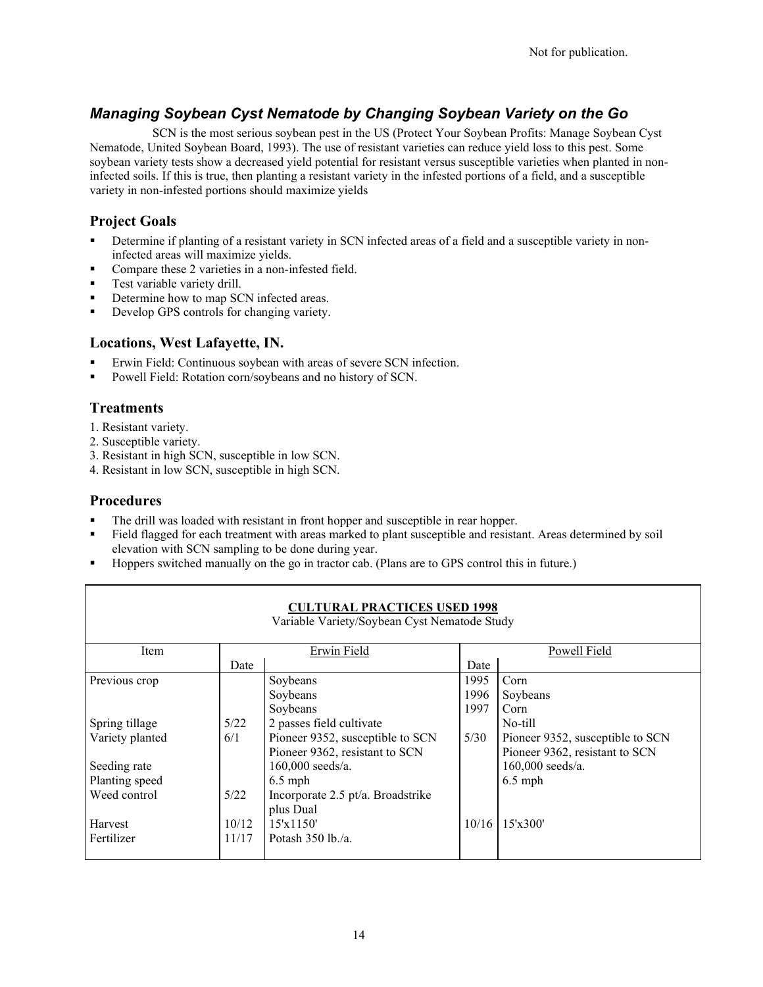# *Managing Soybean Cyst Nematode by Changing Soybean Variety on the Go*

SCN is the most serious soybean pest in the US (Protect Your Soybean Profits: Manage Soybean Cyst Nematode, United Soybean Board, 1993). The use of resistant varieties can reduce yield loss to this pest. Some soybean variety tests show a decreased yield potential for resistant versus susceptible varieties when planted in noninfected soils. If this is true, then planting a resistant variety in the infested portions of a field, and a susceptible variety in non-infested portions should maximize yields

## **Project Goals**

- Determine if planting of a resistant variety in SCN infected areas of a field and a susceptible variety in noninfected areas will maximize yields.
- Compare these 2 varieties in a non-infested field.
- Test variable variety drill.
- Determine how to map SCN infected areas.
- Develop GPS controls for changing variety.

## **Locations, West Lafayette, IN.**

- Erwin Field: Continuous soybean with areas of severe SCN infection.
- **Powell Field: Rotation corn/soybeans and no history of SCN.**

## **Treatments**

- 1. Resistant variety.
- 2. Susceptible variety.
- 3. Resistant in high SCN, susceptible in low SCN.
- 4. Resistant in low SCN, susceptible in high SCN.

### **Procedures**

- The drill was loaded with resistant in front hopper and susceptible in rear hopper.
- Field flagged for each treatment with areas marked to plant susceptible and resistant. Areas determined by soil elevation with SCN sampling to be done during year.
- Hoppers switched manually on the go in tractor cab. (Plans are to GPS control this in future.)

| <b>CULTURAL PRACTICES USED 1998</b><br>Variable Variety/Soybean Cyst Nematode Study |       |                                   |       |                                  |  |  |
|-------------------------------------------------------------------------------------|-------|-----------------------------------|-------|----------------------------------|--|--|
| Item                                                                                |       | Erwin Field                       |       | Powell Field                     |  |  |
|                                                                                     | Date  |                                   | Date  |                                  |  |  |
| Previous crop                                                                       |       | Soybeans                          | 1995  | Corn                             |  |  |
|                                                                                     |       | Soybeans                          | 1996  | Soybeans                         |  |  |
|                                                                                     |       | Soybeans                          | 1997  | Corn                             |  |  |
| Spring tillage                                                                      | 5/22  | 2 passes field cultivate          |       | No-till                          |  |  |
| Variety planted                                                                     | 6/1   | Pioneer 9352, susceptible to SCN  | 5/30  | Pioneer 9352, susceptible to SCN |  |  |
|                                                                                     |       | Pioneer 9362, resistant to SCN    |       | Pioneer 9362, resistant to SCN   |  |  |
| Seeding rate                                                                        |       | $160,000$ seeds/a.                |       | $160,000$ seeds/a.               |  |  |
| Planting speed                                                                      |       | $6.5$ mph                         |       | $6.5$ mph                        |  |  |
| Weed control                                                                        | 5/22  | Incorporate 2.5 pt/a. Broadstrike |       |                                  |  |  |
|                                                                                     |       | plus Dual                         |       |                                  |  |  |
| Harvest                                                                             | 10/12 | 15'x1150'                         | 10/16 | 15'x300'                         |  |  |
| Fertilizer                                                                          | 11/17 | Potash $350$ lb./a.               |       |                                  |  |  |
|                                                                                     |       |                                   |       |                                  |  |  |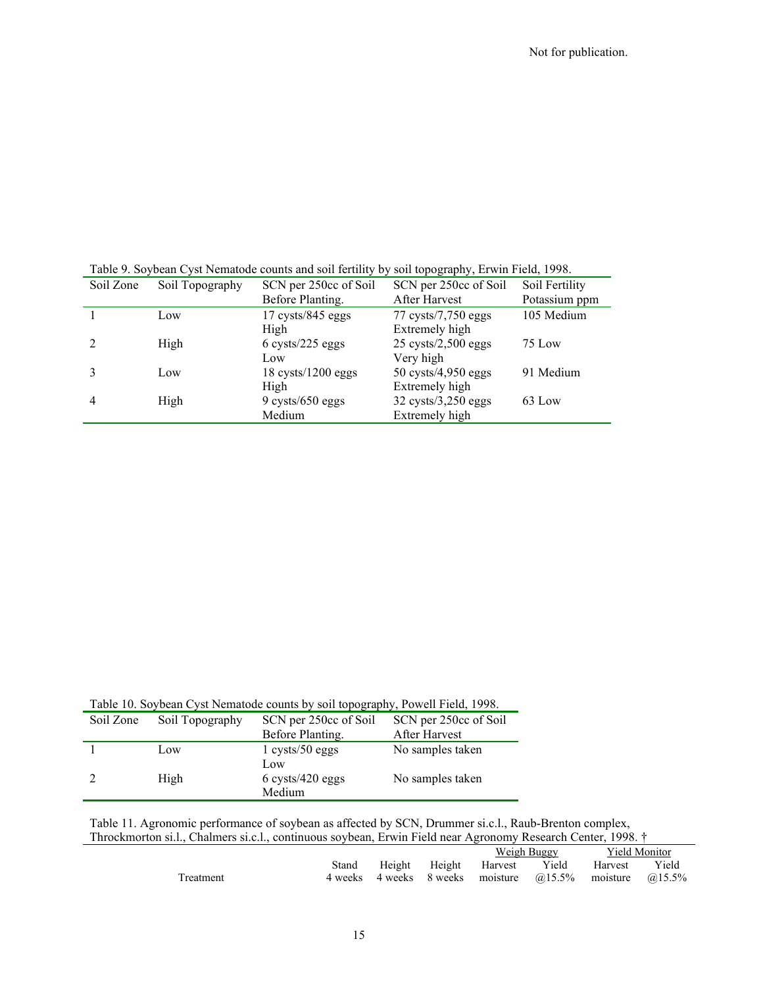| Soil Zone | Soil Topography | SCN per 250cc of Soil                | SCN per 250cc of Soil                 | Soil Fertility |
|-----------|-----------------|--------------------------------------|---------------------------------------|----------------|
|           |                 | Before Planting.                     | After Harvest                         | Potassium ppm  |
|           | Low             | $17$ cysts/845 eggs                  | 77 cysts/7,750 eggs                   | 105 Medium     |
|           |                 | High                                 | Extremely high                        |                |
|           | High            | $6$ cysts/225 eggs                   | $25$ cysts/ $2,500$ eggs              | 75 Low         |
|           |                 | Low                                  | Very high                             |                |
|           | Low             | $18 \text{ cysts}/1200 \text{ eggs}$ | $50 \text{ cysts}/4,950 \text{ eggs}$ | 91 Medium      |
|           |                 | High                                 | Extremely high                        |                |
|           | High            | $9$ cysts/650 eggs                   | 32 cysts/3,250 eggs                   | 63 Low         |
|           |                 | Medium                               | Extremely high                        |                |
|           |                 |                                      |                                       |                |

Table 9. Soybean Cyst Nematode counts and soil fertility by soil topography, Erwin Field, 1998.

|  | Table 10. Soybean Cyst Nematode counts by soil topography, Powell Field, 1998. |
|--|--------------------------------------------------------------------------------|
|  |                                                                                |

| Soil Zone | Soil Topography | SCN per 250cc of Soil                               | SCN per 250cc of Soil |
|-----------|-----------------|-----------------------------------------------------|-----------------------|
|           |                 | Before Planting.                                    | After Harvest         |
|           | Low.            | $1$ cysts/50 eggs                                   | No samples taken      |
|           | High            | Low<br>$6 \text{ cysts}/420 \text{ eggs}$<br>Medium | No samples taken      |

Table 11. Agronomic performance of soybean as affected by SCN, Drummer si.c.l., Raub-Brenton complex, Throckmorton si.l., Chalmers si.c.l., continuous soybean, Erwin Field near Agronomy Research Center, 1998. †

| укинотон энн. Спаннею энен. сониндодь во госан. Египт т том неаг дегононгу кеведен сентет. 1770. - |       |        |        |                                                          |             |         |               |  |
|----------------------------------------------------------------------------------------------------|-------|--------|--------|----------------------------------------------------------|-------------|---------|---------------|--|
|                                                                                                    |       |        |        |                                                          | Weigh Buggy |         | Yield Monitor |  |
|                                                                                                    | Stand | Height | Height | Harvest                                                  | Yield       | Harvest | Yield         |  |
| Treatment                                                                                          |       |        |        | 4 weeks 4 weeks 8 weeks moisture $\omega$ 15.5% moisture |             |         | @15.5%        |  |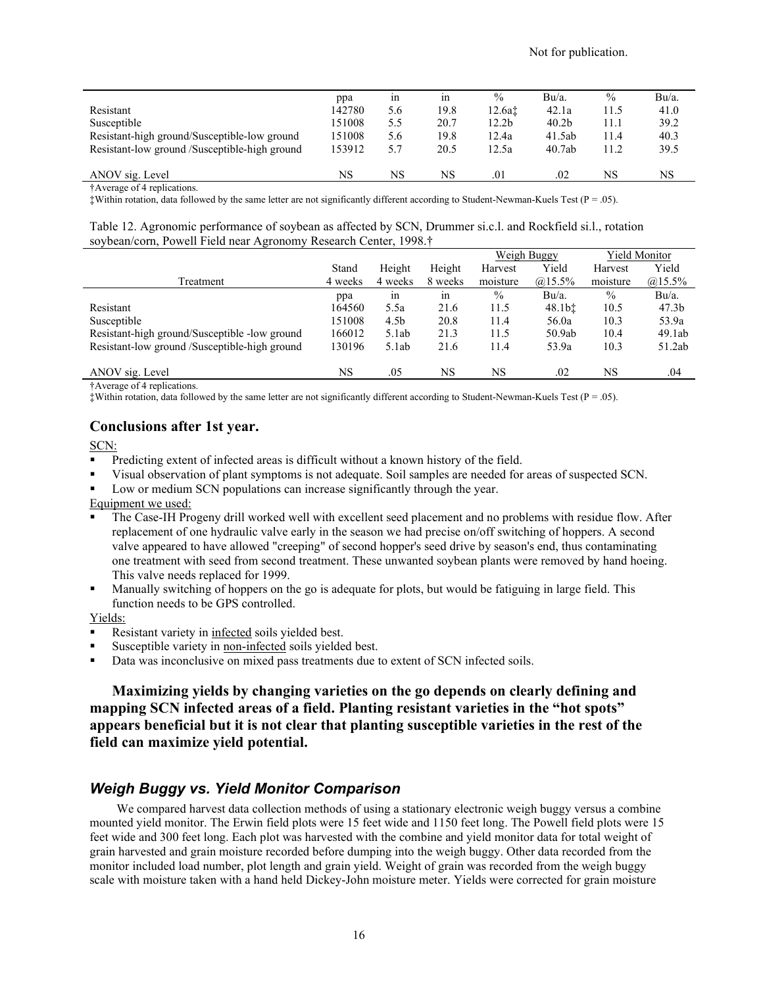|                                               | ppa    | ın  | 1n   | $\%$               | Bu/a.             | $\%$ | Bu/a. |
|-----------------------------------------------|--------|-----|------|--------------------|-------------------|------|-------|
| Resistant                                     | 142780 | 5.6 | 19.8 | $12.6a$ $\ddagger$ | 42.1a             | 11.5 | 41.0  |
| Susceptible                                   | 151008 | 5.5 | 20.7 | 12.2 <sub>b</sub>  | 40.2 <sub>b</sub> | 11.1 | 39.2  |
| Resistant-high ground/Susceptible-low ground  | 151008 | 5.6 | 19.8 | 12.4a              | 41.5ab            | 11.4 | 40.3  |
| Resistant-low ground /Susceptible-high ground | 153912 | 5.7 | 20.5 | 12.5a              | 40.7ab            | 11.2 | 39.5  |
| ANOV sig. Level                               | NS     | NS  | NS   | .01                | .02               | NS   | NS    |

†Average of 4 replications.

‡Within rotation, data followed by the same letter are not significantly different according to Student-Newman-Kuels Test (P = .05).

| Table 12. Agronomic performance of soybean as affected by SCN, Drummer si.c.l. and Rockfield si.l., rotation |  |
|--------------------------------------------------------------------------------------------------------------|--|
| sovbean/corn, Powell Field near Agronomy Research Center, 1998. <sup>†</sup>                                 |  |

|                                               |         |                  |         | Weigh Buggy   |                   | <b>Yield Monitor</b> |                   |
|-----------------------------------------------|---------|------------------|---------|---------------|-------------------|----------------------|-------------------|
|                                               | Stand   | Height           | Height  | Harvest       | Yield             | Harvest              | Yield             |
| Treatment                                     | 4 weeks | 4 weeks          | 8 weeks | moisture      | $@.15.5\%$        | moisture             | $(a)$ 15.5%       |
|                                               | ppa     | 1n               | 1n      | $\frac{0}{0}$ | Bu/a.             | $\frac{0}{0}$        | Bu/a.             |
| Resistant                                     | 164560  | 5.5a             | 21.6    | 11.5          | 48.1 <sub>b</sub> | 10.5                 | 47.3 <sub>b</sub> |
| Susceptible                                   | 151008  | 4.5 <sub>b</sub> | 20.8    | 11.4          | 56.0a             | 10.3                 | 53.9a             |
| Resistant-high ground/Susceptible -low ground | 166012  | 5.1ab            | 21.3    | 11.5          | 50.9ab            | 10.4                 | 49.1ab            |
| Resistant-low ground /Susceptible-high ground | 130196  | 5.1ab            | 21.6    | 11.4          | 53.9a             | 10.3                 | 51.2ab            |
| ANOV sig. Level                               | NS      | .05              | NS      | NS            | .02               | NS                   | .04               |
|                                               |         |                  |         |               |                   |                      |                   |

†Average of 4 replications.

‡Within rotation, data followed by the same letter are not significantly different according to Student-Newman-Kuels Test (P = .05).

#### **Conclusions after 1st year.**

SCN:

- Predicting extent of infected areas is difficult without a known history of the field.
- Visual observation of plant symptoms is not adequate. Soil samples are needed for areas of suspected SCN.
- Low or medium SCN populations can increase significantly through the year.

Equipment we used:

- The Case-IH Progeny drill worked well with excellent seed placement and no problems with residue flow. After replacement of one hydraulic valve early in the season we had precise on/off switching of hoppers. A second valve appeared to have allowed "creeping" of second hopper's seed drive by season's end, thus contaminating one treatment with seed from second treatment. These unwanted soybean plants were removed by hand hoeing. This valve needs replaced for 1999.
- Manually switching of hoppers on the go is adequate for plots, but would be fatiguing in large field. This function needs to be GPS controlled.

Yields:

- Resistant variety in infected soils yielded best.
- Susceptible variety in non-infected soils yielded best.
- Data was inconclusive on mixed pass treatments due to extent of SCN infected soils.

**Maximizing yields by changing varieties on the go depends on clearly defining and mapping SCN infected areas of a field. Planting resistant varieties in the "hot spots" appears beneficial but it is not clear that planting susceptible varieties in the rest of the field can maximize yield potential.**

### *Weigh Buggy vs. Yield Monitor Comparison*

We compared harvest data collection methods of using a stationary electronic weigh buggy versus a combine mounted yield monitor. The Erwin field plots were 15 feet wide and 1150 feet long. The Powell field plots were 15 feet wide and 300 feet long. Each plot was harvested with the combine and yield monitor data for total weight of grain harvested and grain moisture recorded before dumping into the weigh buggy. Other data recorded from the monitor included load number, plot length and grain yield. Weight of grain was recorded from the weigh buggy scale with moisture taken with a hand held Dickey-John moisture meter. Yields were corrected for grain moisture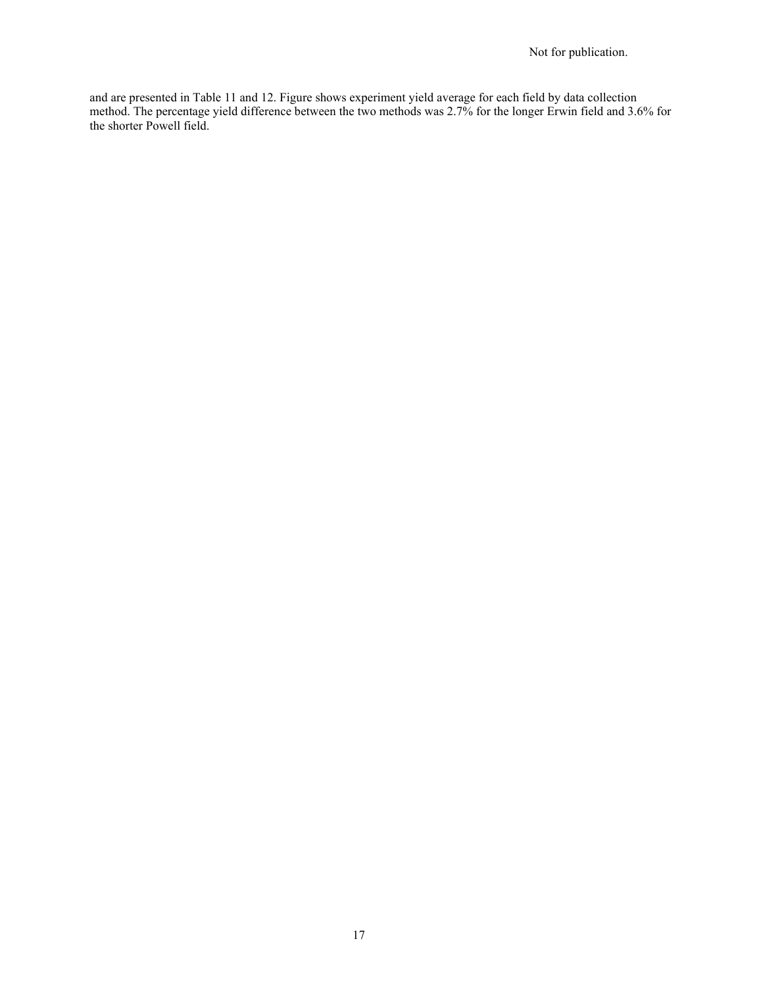and are presented in Table 11 and 12. Figure shows experiment yield average for each field by data collection method. The percentage yield difference between the two methods was 2.7% for the longer Erwin field and 3.6% for the shorter Powell field.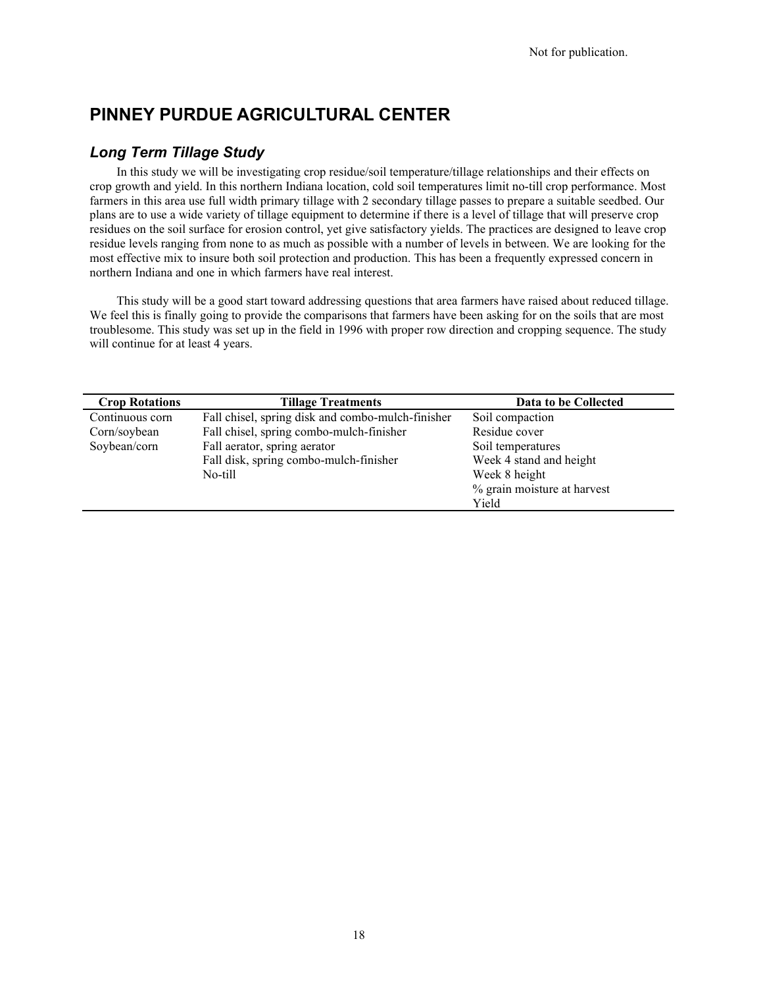# **PINNEY PURDUE AGRICULTURAL CENTER**

### *Long Term Tillage Study*

In this study we will be investigating crop residue/soil temperature/tillage relationships and their effects on crop growth and yield. In this northern Indiana location, cold soil temperatures limit no-till crop performance. Most farmers in this area use full width primary tillage with 2 secondary tillage passes to prepare a suitable seedbed. Our plans are to use a wide variety of tillage equipment to determine if there is a level of tillage that will preserve crop residues on the soil surface for erosion control, yet give satisfactory yields. The practices are designed to leave crop residue levels ranging from none to as much as possible with a number of levels in between. We are looking for the most effective mix to insure both soil protection and production. This has been a frequently expressed concern in northern Indiana and one in which farmers have real interest.

This study will be a good start toward addressing questions that area farmers have raised about reduced tillage. We feel this is finally going to provide the comparisons that farmers have been asking for on the soils that are most troublesome. This study was set up in the field in 1996 with proper row direction and cropping sequence. The study will continue for at least 4 years.

| <b>Crop Rotations</b> | <b>Tillage Treatments</b>                         | Data to be Collected        |
|-----------------------|---------------------------------------------------|-----------------------------|
| Continuous corn       | Fall chisel, spring disk and combo-mulch-finisher | Soil compaction             |
| Corn/soybean          | Fall chisel, spring combo-mulch-finisher          | Residue cover               |
| Soybean/corn          | Fall aerator, spring aerator                      | Soil temperatures           |
|                       | Fall disk, spring combo-mulch-finisher            | Week 4 stand and height     |
|                       | No-till                                           | Week 8 height               |
|                       |                                                   | % grain moisture at harvest |
|                       |                                                   | Yield                       |
|                       |                                                   |                             |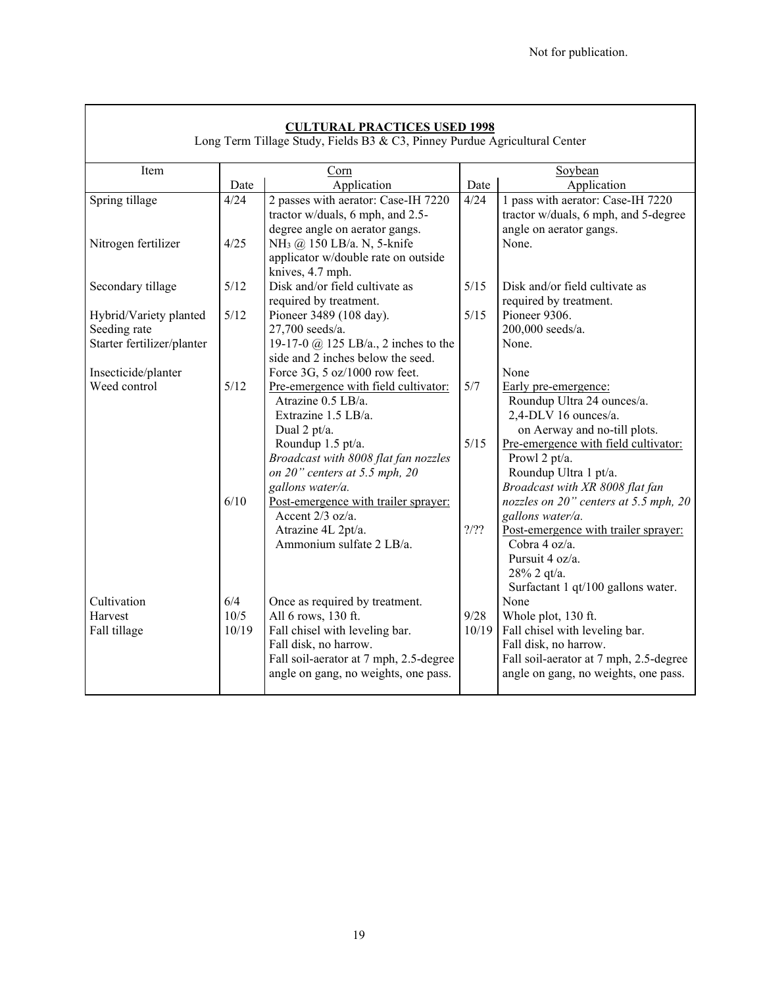| <b>CULTURAL PRACTICES USED 1998</b><br>Long Term Tillage Study, Fields B3 & C3, Pinney Purdue Agricultural Center |                      |                                                                                                                                                                                                                |               |                                                                                                                                                                                            |  |  |  |  |
|-------------------------------------------------------------------------------------------------------------------|----------------------|----------------------------------------------------------------------------------------------------------------------------------------------------------------------------------------------------------------|---------------|--------------------------------------------------------------------------------------------------------------------------------------------------------------------------------------------|--|--|--|--|
| Item                                                                                                              |                      | Corn                                                                                                                                                                                                           |               | Soybean                                                                                                                                                                                    |  |  |  |  |
|                                                                                                                   | Date                 | Application                                                                                                                                                                                                    | Date          | Application                                                                                                                                                                                |  |  |  |  |
| Spring tillage<br>Nitrogen fertilizer                                                                             | 4/24<br>4/25         | 2 passes with aerator: Case-IH 7220<br>tractor w/duals, 6 mph, and 2.5-<br>degree angle on aerator gangs.<br>NH <sub>3</sub> @ 150 LB/a. N, 5-knife<br>applicator w/double rate on outside<br>knives, 4.7 mph. | 4/24          | 1 pass with aerator: Case-IH 7220<br>tractor w/duals, 6 mph, and 5-degree<br>angle on aerator gangs.<br>None.                                                                              |  |  |  |  |
| Secondary tillage                                                                                                 | $5/12$               | Disk and/or field cultivate as<br>required by treatment.                                                                                                                                                       | $5/15$        | Disk and/or field cultivate as<br>required by treatment.                                                                                                                                   |  |  |  |  |
| Hybrid/Variety planted<br>Seeding rate<br>Starter fertilizer/planter                                              | 5/12                 | Pioneer 3489 (108 day).<br>27,700 seeds/a.<br>19-17-0 @ 125 LB/a., 2 inches to the<br>side and 2 inches below the seed.                                                                                        | 5/15          | Pioneer 9306.<br>200,000 seeds/a.<br>None.                                                                                                                                                 |  |  |  |  |
| Insecticide/planter<br>Weed control                                                                               | 5/12                 | Force 3G, 5 oz/1000 row feet.<br>Pre-emergence with field cultivator:<br>Atrazine 0.5 LB/a.<br>Extrazine 1.5 LB/a.<br>Dual 2 pt/a.                                                                             | 5/7           | None<br>Early pre-emergence:<br>Roundup Ultra 24 ounces/a.<br>2,4-DLV 16 ounces/a.<br>on Aerway and no-till plots.                                                                         |  |  |  |  |
|                                                                                                                   |                      | Roundup 1.5 pt/a.<br>Broadcast with 8008 flat fan nozzles<br>on 20" centers at 5.5 mph, 20<br>gallons water/a.                                                                                                 | 5/15          | Pre-emergence with field cultivator:<br>Prowl 2 pt/a.<br>Roundup Ultra 1 pt/a.<br>Broadcast with XR 8008 flat fan                                                                          |  |  |  |  |
|                                                                                                                   | 6/10                 | Post-emergence with trailer sprayer:<br>Accent 2/3 oz/a.<br>Atrazine 4L 2pt/a.<br>Ammonium sulfate 2 LB/a.                                                                                                     | 2/22          | nozzles on 20" centers at 5.5 mph, 20<br>gallons water/a.<br>Post-emergence with trailer sprayer:<br>Cobra 4 oz/a.<br>Pursuit 4 oz/a.<br>28% 2 qt/a.<br>Surfactant 1 qt/100 gallons water. |  |  |  |  |
| Cultivation<br>Harvest<br>Fall tillage                                                                            | 6/4<br>10/5<br>10/19 | Once as required by treatment.<br>All 6 rows, 130 ft.<br>Fall chisel with leveling bar.<br>Fall disk, no harrow.<br>Fall soil-aerator at 7 mph, 2.5-degree<br>angle on gang, no weights, one pass.             | 9/28<br>10/19 | None<br>Whole plot, 130 ft.<br>Fall chisel with leveling bar.<br>Fall disk, no harrow.<br>Fall soil-aerator at 7 mph, 2.5-degree<br>angle on gang, no weights, one pass.                   |  |  |  |  |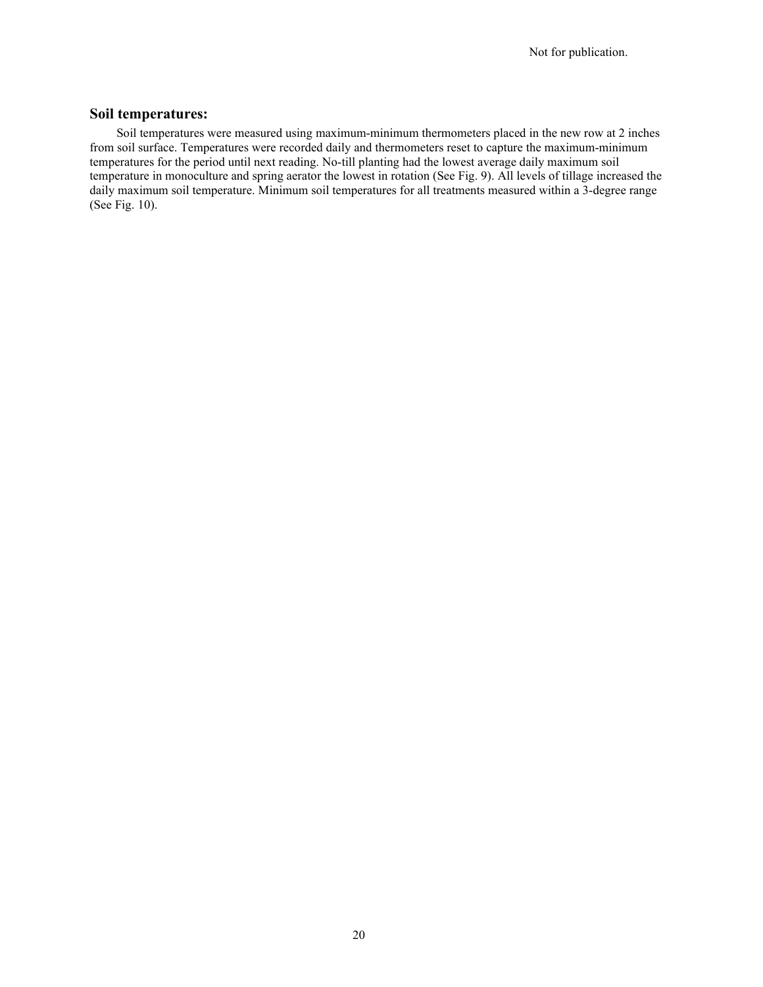## **Soil temperatures:**

Soil temperatures were measured using maximum-minimum thermometers placed in the new row at 2 inches from soil surface. Temperatures were recorded daily and thermometers reset to capture the maximum-minimum temperatures for the period until next reading. No-till planting had the lowest average daily maximum soil temperature in monoculture and spring aerator the lowest in rotation (See Fig. 9). All levels of tillage increased the daily maximum soil temperature. Minimum soil temperatures for all treatments measured within a 3-degree range (See Fig. 10).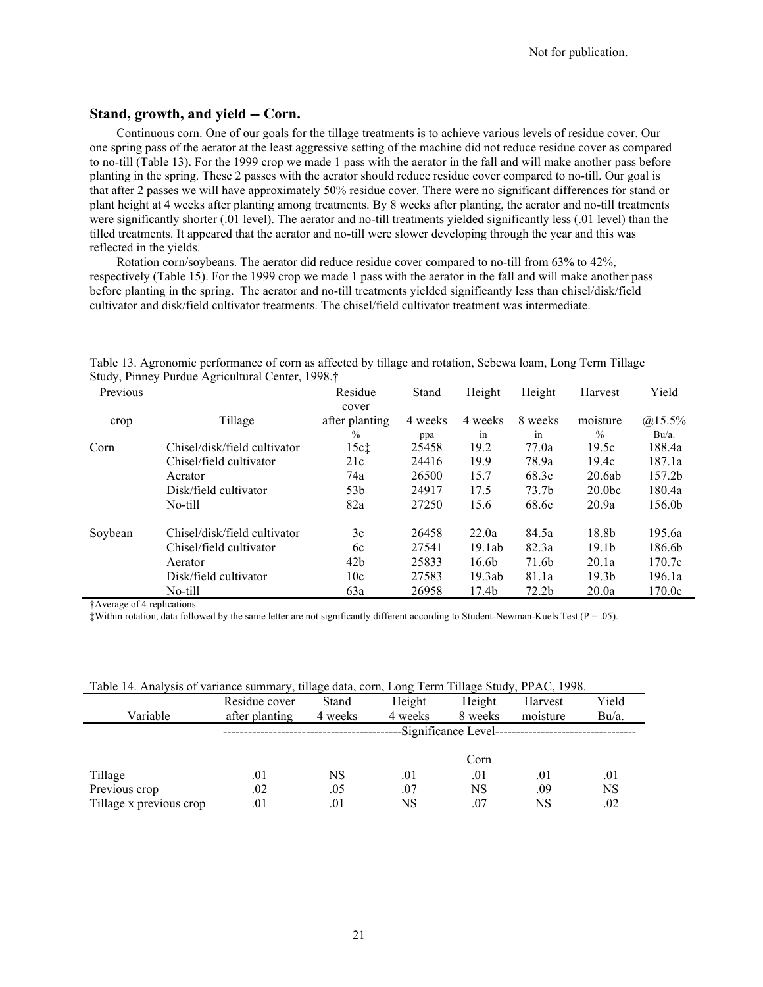#### **Stand, growth, and yield -- Corn.**

Continuous corn. One of our goals for the tillage treatments is to achieve various levels of residue cover. Our one spring pass of the aerator at the least aggressive setting of the machine did not reduce residue cover as compared to no-till (Table 13). For the 1999 crop we made 1 pass with the aerator in the fall and will make another pass before planting in the spring. These 2 passes with the aerator should reduce residue cover compared to no-till. Our goal is that after 2 passes we will have approximately 50% residue cover. There were no significant differences for stand or plant height at 4 weeks after planting among treatments. By 8 weeks after planting, the aerator and no-till treatments were significantly shorter (.01 level). The aerator and no-till treatments yielded significantly less (.01 level) than the tilled treatments. It appeared that the aerator and no-till were slower developing through the year and this was reflected in the yields.

Rotation corn/soybeans. The aerator did reduce residue cover compared to no-till from 63% to 42%, respectively (Table 15). For the 1999 crop we made 1 pass with the aerator in the fall and will make another pass before planting in the spring. The aerator and no-till treatments yielded significantly less than chisel/disk/field cultivator and disk/field cultivator treatments. The chisel/field cultivator treatment was intermediate.

|          | $\frac{1}{2}$                |                 |         |                   |                   |                    |                    |
|----------|------------------------------|-----------------|---------|-------------------|-------------------|--------------------|--------------------|
| Previous |                              | Residue         | Stand   | Height            | Height            | Harvest            | Yield              |
|          |                              | cover           |         |                   |                   |                    |                    |
| crop     | Tillage                      | after planting  | 4 weeks | 4 weeks           | 8 weeks           | moisture           | $@15.5\%$          |
|          |                              | $\frac{0}{0}$   | ppa     | in                | in                | $\frac{0}{0}$      | Bu/a.              |
| Corn     | Chisel/disk/field cultivator | 15c             | 25458   | 19.2              | 77.0a             | 19.5c              | 188.4a             |
|          | Chisel/field cultivator      | 21c             | 24416   | 19.9              | 78.9a             | 19.4c              | 187.1a             |
|          | Aerator                      | 74a             | 26500   | 15.7              | 68.3c             | 20.6ab             | 157.2 <sub>b</sub> |
|          | Disk/field cultivator        | 53 <sub>b</sub> | 24917   | 17.5              | 73.7 <sub>b</sub> | 20.0 <sub>bc</sub> | 180.4a             |
|          | No-till                      | 82a             | 27250   | 15.6              | 68.6c             | 20.9a              | 156.0b             |
| Soybean  | Chisel/disk/field cultivator | 3c              | 26458   | 22.0a             | 84.5a             | 18.8b              | 195.6a             |
|          | Chisel/field cultivator      | 6c              | 27541   | 19.1ab            | 82.3a             | 19.1 <sub>b</sub>  | 186.6b             |
|          | Aerator                      | 42 <sub>b</sub> | 25833   | 16.6 <sub>b</sub> | 71.6b             | 20.1a              | 170.7c             |
|          | Disk/field cultivator        | 10c             | 27583   | 19.3ab            | 81.1a             | 19.3 <sub>b</sub>  | 196.1a             |
|          | No-till                      | 63a             | 26958   | 17.4 <sub>b</sub> | 72.2 <sub>b</sub> | 20.0a              | 170.0c             |

Table 13. Agronomic performance of corn as affected by tillage and rotation, Sebewa loam, Long Term Tillage Study, Pinney Purdue Agricultural Center, 1998.†

†Average of 4 replications.

‡Within rotation, data followed by the same letter are not significantly different according to Student-Newman-Kuels Test (P = .05).

|                         | Residue cover  | Stand                  | Height  | Height  | Harvest  | Yield |  |  |  |  |
|-------------------------|----------------|------------------------|---------|---------|----------|-------|--|--|--|--|
| Variable                | after planting | 4 weeks                | 4 weeks | 8 weeks | moisture | Bu/a. |  |  |  |  |
|                         |                | -Significance Level--- |         |         |          |       |  |  |  |  |
|                         |                |                        |         | Corn    |          |       |  |  |  |  |
| Tillage                 | .01            | NS                     | .01     | .01     | .01      | .01   |  |  |  |  |
| Previous crop           | .02            | .05                    | .07     | NS      | .09      | NS    |  |  |  |  |
| Tillage x previous crop | .01            | .01                    | NS      | .07     | NS       | .02   |  |  |  |  |

#### Table 14. Analysis of variance summary, tillage data, corn, Long Term Tillage Study, PPAC, 1998.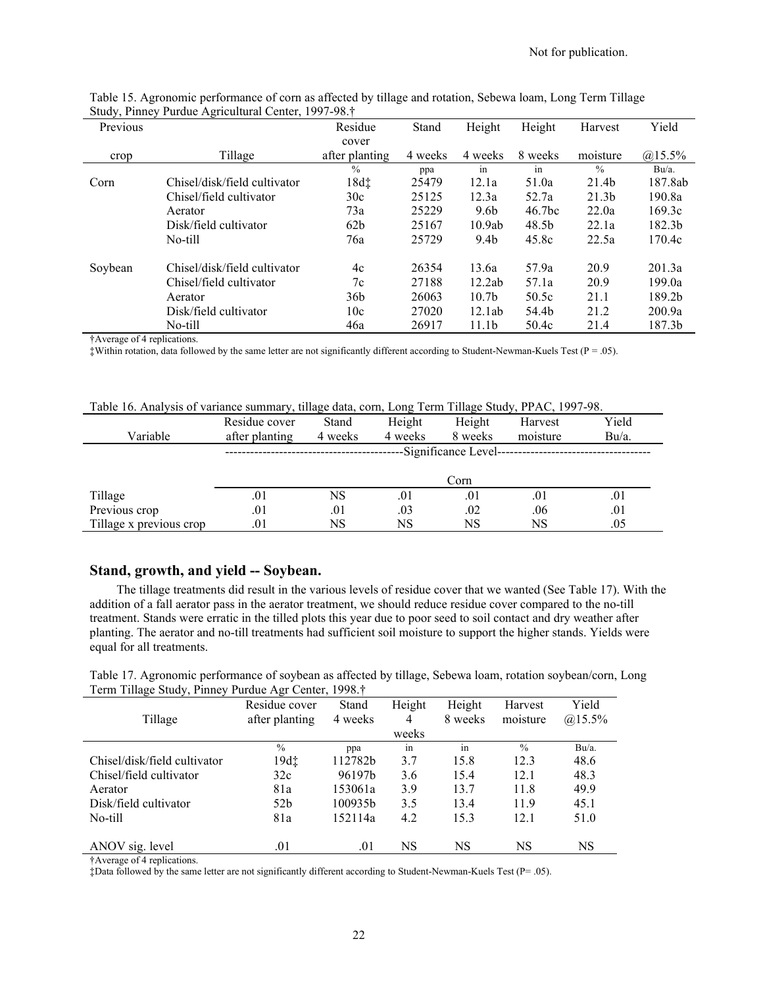|          | $1 + 1$                      |                 |         |                   |                    |                   |                    |
|----------|------------------------------|-----------------|---------|-------------------|--------------------|-------------------|--------------------|
| Previous |                              | Residue         | Stand   | Height            | Height             | Harvest           | Yield              |
|          |                              | cover           |         |                   |                    |                   |                    |
| crop     | Tillage                      | after planting  | 4 weeks | 4 weeks           | 8 weeks            | moisture          | $@15.5\%$          |
|          |                              | $\frac{0}{0}$   | ppa     | in                | in                 | $\frac{0}{0}$     | Bu/a.              |
| Corn     | Chisel/disk/field cultivator | 18di            | 25479   | 12.1a             | 51.0a              | 21.4b             | 187.8ab            |
|          | Chisel/field cultivator      | 30c             | 25125   | 12.3a             | 52.7a              | 21.3 <sub>b</sub> | 190.8a             |
|          | Aerator                      | 73a             | 25229   | 9.6 <sub>b</sub>  | 46.7 <sub>bc</sub> | 22.0a             | 169.3c             |
|          | Disk/field cultivator        | 62 <sub>b</sub> | 25167   | 10.9ab            | 48.5b              | 22.1a             | 182.3 <sub>b</sub> |
|          | No-till                      | 76a             | 25729   | 9.4 <sub>b</sub>  | 45.8c              | 22.5a             | 170.4c             |
| Soybean  | Chisel/disk/field cultivator | 4c              | 26354   | 13.6a             | 57.9a              | 20.9              | 201.3a             |
|          | Chisel/field cultivator      | 7c              | 27188   | 12.2ab            | 57.1a              | 20.9              | 199.0a             |
|          | Aerator                      | 36 <sub>b</sub> | 26063   | 10.7 <sub>b</sub> | 50.5c              | 21.1              | 189.2 <sub>b</sub> |
|          | Disk/field cultivator        | 10c             | 27020   | 12.1ab            | 54.4b              | 21.2              | 200.9a             |
|          | No-till                      | 46a             | 26917   | 11.1 <sub>b</sub> | 50.4c              | 21.4              | 187.3b             |

Table 15. Agronomic performance of corn as affected by tillage and rotation, Sebewa loam, Long Term Tillage Study, Pinney Purdue Agricultural Center, 1997-98.†

†Average of 4 replications.

‡Within rotation, data followed by the same letter are not significantly different according to Student-Newman-Kuels Test (P = .05).

| Table 16. Analysis of variance summary, tillage data, corn, Long Term Tillage Study, PPAC, 1997-98. |  |  |
|-----------------------------------------------------------------------------------------------------|--|--|
|                                                                                                     |  |  |

|                         | Residue cover              | Stand   | Height  | Height  | Harvest  | Yield |  |  |  |
|-------------------------|----------------------------|---------|---------|---------|----------|-------|--|--|--|
| Variable                | after planting             | 4 weeks | 4 weeks | 8 weeks | moisture | Bu/a. |  |  |  |
|                         | --Significance Level------ |         |         |         |          |       |  |  |  |
|                         | Corn                       |         |         |         |          |       |  |  |  |
| Tillage                 | .01                        | NS      | .01     | .01     | .01      | .01   |  |  |  |
| Previous crop           | .01                        | .01     | .03     | .02     | .06      | .01   |  |  |  |
| Tillage x previous crop | .01                        | NS      | NS      | NS      | NS       | .05   |  |  |  |

#### **Stand, growth, and yield -- Soybean.**

The tillage treatments did result in the various levels of residue cover that we wanted (See Table 17). With the addition of a fall aerator pass in the aerator treatment, we should reduce residue cover compared to the no-till treatment. Stands were erratic in the tilled plots this year due to poor seed to soil contact and dry weather after planting. The aerator and no-till treatments had sufficient soil moisture to support the higher stands. Yields were equal for all treatments.

Table 17. Agronomic performance of soybean as affected by tillage, Sebewa loam, rotation soybean/corn, Long Term Tillage Study, Pinney Purdue Agr Center, 1998.†

|                              | $-27$           |         |           |         |               |           |  |  |  |  |  |
|------------------------------|-----------------|---------|-----------|---------|---------------|-----------|--|--|--|--|--|
|                              | Residue cover   | Stand   | Height    | Height  | Harvest       | Yield     |  |  |  |  |  |
| Tillage                      | after planting  | 4 weeks | 4         | 8 weeks | moisture      | $@15.5\%$ |  |  |  |  |  |
|                              |                 |         | weeks     |         |               |           |  |  |  |  |  |
|                              | $\frac{0}{0}$   | ppa     | in        | in      | $\frac{0}{0}$ | Bu/a.     |  |  |  |  |  |
| Chisel/disk/field cultivator | 19d‡            | 112782b | 3.7       | 15.8    | 12.3          | 48.6      |  |  |  |  |  |
| Chisel/field cultivator      | 32c             | 96197b  | 3.6       | 15.4    | 12.1          | 48.3      |  |  |  |  |  |
| Aerator                      | 81a             | 153061a | 3.9       | 13.7    | 11.8          | 49.9      |  |  |  |  |  |
| Disk/field cultivator        | 52 <sub>b</sub> | 100935b | 3.5       | 13.4    | 11.9          | 45.1      |  |  |  |  |  |
| No-till                      | 81a             | 152114a | 4.2       | 15.3    | 12.1          | 51.0      |  |  |  |  |  |
| ANOV sig. level              | .01             | .01     | <b>NS</b> | NS      | <b>NS</b>     | <b>NS</b> |  |  |  |  |  |
|                              |                 |         |           |         |               |           |  |  |  |  |  |

†Average of 4 replications.

‡Data followed by the same letter are not significantly different according to Student-Newman-Kuels Test (P= .05).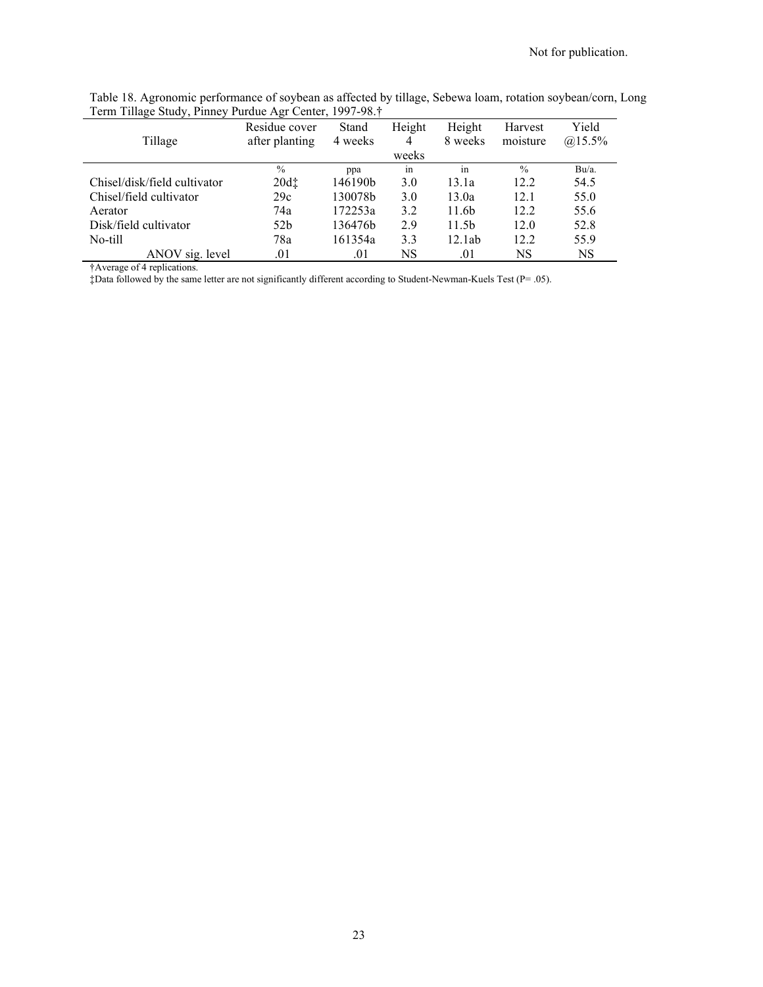| Table 18. Agronomic performance of soybean as affected by tillage, Sebewa loam, rotation soybean/corn, Long |  |  |  |  |  |
|-------------------------------------------------------------------------------------------------------------|--|--|--|--|--|
| Term Tillage Study, Pinney Purdue Agr Center, 1997-98.†                                                     |  |  |  |  |  |
|                                                                                                             |  |  |  |  |  |

|                              | Residue cover   | Stand   | Height | Height            | Harvest       | Yield     |
|------------------------------|-----------------|---------|--------|-------------------|---------------|-----------|
| Tillage                      | after planting  | 4 weeks | 4      | 8 weeks           | moisture      | $@15.5\%$ |
|                              |                 |         | weeks  |                   |               |           |
|                              | $\frac{0}{0}$   | ppa     | in     | 1n                | $\frac{0}{0}$ | Bu/a.     |
| Chisel/disk/field cultivator | 20d             | 146190b | 3.0    | 13.1a             | 12.2          | 54.5      |
| Chisel/field cultivator      | 29c             | 130078b | 3.0    | 13.0a             | 12.1          | 55.0      |
| Aerator                      | 74a             | 172253a | 3.2    | 11.6b             | 12.2          | 55.6      |
| Disk/field cultivator        | 52 <sub>b</sub> | 136476b | 2.9    | 11.5 <sub>b</sub> | 12.0          | 52.8      |
| No-till                      | 78a             | 161354a | 3.3    | 12.1ab            | 12.2          | 55.9      |
| ANOV sig. level              | .01             | .01     | NS     | .01               | NS            | NS        |

†Average of 4 replications.

‡Data followed by the same letter are not significantly different according to Student-Newman-Kuels Test (P= .05).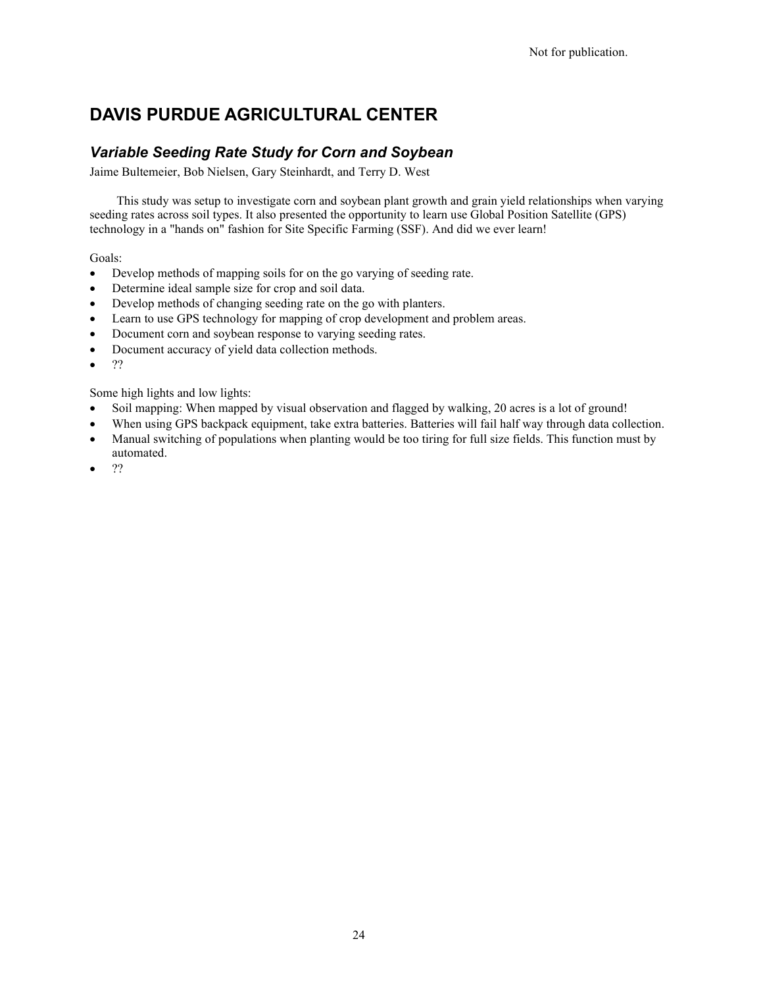# **DAVIS PURDUE AGRICULTURAL CENTER**

## *Variable Seeding Rate Study for Corn and Soybean*

Jaime Bultemeier, Bob Nielsen, Gary Steinhardt, and Terry D. West

This study was setup to investigate corn and soybean plant growth and grain yield relationships when varying seeding rates across soil types. It also presented the opportunity to learn use Global Position Satellite (GPS) technology in a "hands on" fashion for Site Specific Farming (SSF). And did we ever learn!

Goals:

- Develop methods of mapping soils for on the go varying of seeding rate.
- Determine ideal sample size for crop and soil data.
- Develop methods of changing seeding rate on the go with planters.
- Learn to use GPS technology for mapping of crop development and problem areas.
- Document corn and soybean response to varying seeding rates.
- Document accuracy of yield data collection methods.
- ??

Some high lights and low lights:

- Soil mapping: When mapped by visual observation and flagged by walking, 20 acres is a lot of ground!
- When using GPS backpack equipment, take extra batteries. Batteries will fail half way through data collection.
- Manual switching of populations when planting would be too tiring for full size fields. This function must by automated.
- ??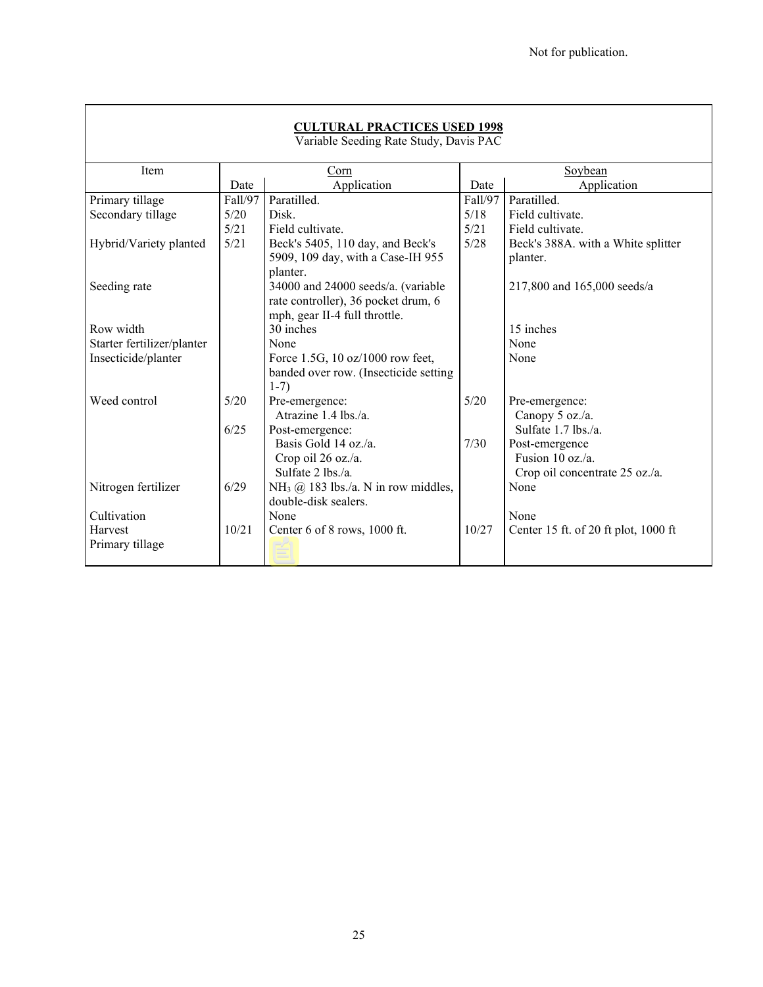٦

| <b>CULTURAL PRACTICES USED 1998</b><br>Variable Seeding Rate Study, Davis PAC |         |                                                   |         |                                      |  |  |  |  |  |
|-------------------------------------------------------------------------------|---------|---------------------------------------------------|---------|--------------------------------------|--|--|--|--|--|
| Item                                                                          |         | Corn                                              |         | Soybean                              |  |  |  |  |  |
|                                                                               | Date    | Application                                       | Date    | Application                          |  |  |  |  |  |
| Primary tillage                                                               | Fall/97 | Paratilled.                                       | Fall/97 | Paratilled.                          |  |  |  |  |  |
| Secondary tillage                                                             | 5/20    | Disk.                                             | 5/18    | Field cultivate.                     |  |  |  |  |  |
|                                                                               | 5/21    | Field cultivate.                                  | 5/21    | Field cultivate.                     |  |  |  |  |  |
| Hybrid/Variety planted                                                        | 5/21    | Beck's 5405, 110 day, and Beck's                  | 5/28    | Beck's 388A. with a White splitter   |  |  |  |  |  |
|                                                                               |         | 5909, 109 day, with a Case-IH 955                 |         | planter.                             |  |  |  |  |  |
|                                                                               |         | planter.                                          |         |                                      |  |  |  |  |  |
| Seeding rate                                                                  |         | 34000 and 24000 seeds/a. (variable                |         | 217,800 and 165,000 seeds/a          |  |  |  |  |  |
|                                                                               |         | rate controller), 36 pocket drum, 6               |         |                                      |  |  |  |  |  |
|                                                                               |         | mph, gear II-4 full throttle.                     |         |                                      |  |  |  |  |  |
| Row width                                                                     |         | 30 inches                                         |         | 15 inches                            |  |  |  |  |  |
| Starter fertilizer/planter                                                    |         | None                                              |         | None                                 |  |  |  |  |  |
| Insecticide/planter                                                           |         | Force 1.5G, 10 oz/1000 row feet,                  |         | None                                 |  |  |  |  |  |
|                                                                               |         | banded over row. (Insecticide setting             |         |                                      |  |  |  |  |  |
|                                                                               |         | $1-7)$                                            |         |                                      |  |  |  |  |  |
| Weed control                                                                  | 5/20    | Pre-emergence:                                    | 5/20    | Pre-emergence:                       |  |  |  |  |  |
|                                                                               |         | Atrazine 1.4 lbs./a.                              |         | Canopy 5 oz./a.                      |  |  |  |  |  |
|                                                                               | 6/25    | Post-emergence:                                   |         | Sulfate 1.7 lbs./a.                  |  |  |  |  |  |
|                                                                               |         | Basis Gold 14 oz./a.                              | 7/30    | Post-emergence                       |  |  |  |  |  |
|                                                                               |         | Crop oil 26 oz./a.                                |         | Fusion $10 \text{ oz}/a$ .           |  |  |  |  |  |
|                                                                               |         | Sulfate 2 lbs./a.                                 |         | Crop oil concentrate 25 oz./a.       |  |  |  |  |  |
| Nitrogen fertilizer                                                           | 6/29    | NH <sub>3</sub> $@$ 183 lbs./a. N in row middles, |         | None                                 |  |  |  |  |  |
|                                                                               |         | double-disk sealers.                              |         |                                      |  |  |  |  |  |
| Cultivation                                                                   |         | None                                              |         | None                                 |  |  |  |  |  |
| Harvest                                                                       | 10/21   | Center $6$ of $8$ rows, 1000 ft.                  | 10/27   | Center 15 ft. of 20 ft plot, 1000 ft |  |  |  |  |  |
| Primary tillage                                                               |         |                                                   |         |                                      |  |  |  |  |  |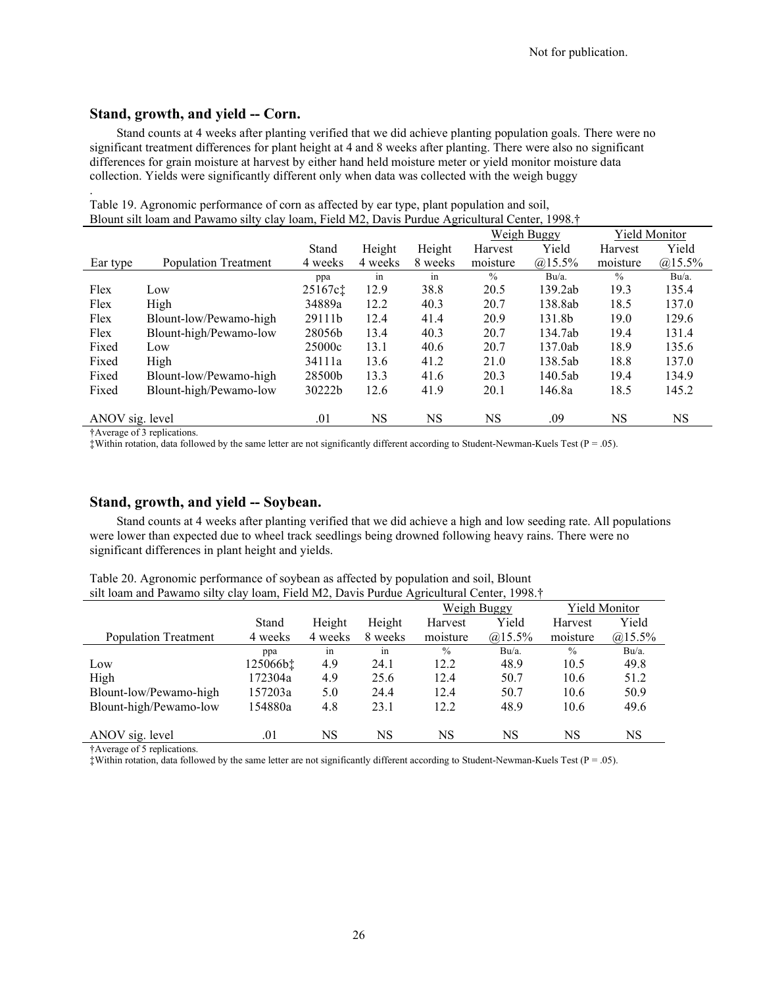#### **Stand, growth, and yield -- Corn.**

Stand counts at 4 weeks after planting verified that we did achieve planting population goals. There were no significant treatment differences for plant height at 4 and 8 weeks after planting. There were also no significant differences for grain moisture at harvest by either hand held moisture meter or yield monitor moisture data collection. Yields were significantly different only when data was collected with the weigh buggy

|                 |                        |         |         |         | Weigh Buggy |           | Yield Monitor |             |
|-----------------|------------------------|---------|---------|---------|-------------|-----------|---------------|-------------|
|                 |                        | Stand   | Height  | Height  | Harvest     | Yield     | Harvest       | Yield       |
| Ear type        | Population Treatment   | 4 weeks | 4 weeks | 8 weeks | moisture    | $@15.5\%$ | moisture      | $(a)$ 15.5% |
|                 |                        | ppa     | in      | in      | $\%$        | Bu/a.     | $\frac{0}{0}$ | Bu/a.       |
| Flex            | Low                    | 25167c‡ | 12.9    | 38.8    | 20.5        | 139.2ab   | 19.3          | 135.4       |
| Flex            | High                   | 34889a  | 12.2    | 40.3    | 20.7        | 138.8ab   | 18.5          | 137.0       |
| Flex            | Blount-low/Pewamo-high | 29111b  | 12.4    | 41.4    | 20.9        | 131.8b    | 19.0          | 129.6       |
| Flex            | Blount-high/Pewamo-low | 28056b  | 13.4    | 40.3    | 20.7        | 134.7ab   | 19.4          | 131.4       |
| Fixed           | Low                    | 25000c  | 13.1    | 40.6    | 20.7        | 137.0ab   | 18.9          | 135.6       |
| Fixed           | High                   | 34111a  | 13.6    | 41.2    | 21.0        | 138.5ab   | 18.8          | 137.0       |
| Fixed           | Blount-low/Pewamo-high | 28500b  | 13.3    | 41.6    | 20.3        | 140.5ab   | 19.4          | 134.9       |
| Fixed           | Blount-high/Pewamo-low | 30222b  | 12.6    | 41.9    | 20.1        | 146.8a    | 18.5          | 145.2       |
| ANOV sig. level |                        | .01     | NS      | NS      | NS          | .09       | NS            | NS.         |

Table 19. Agronomic performance of corn as affected by ear type, plant population and soil, Blount silt loam and Pawamo silty clay loam, Field M2, Davis Purdue Agricultural Center, 1998.†

†Average of 3 replications.

.

‡Within rotation, data followed by the same letter are not significantly different according to Student-Newman-Kuels Test (P = .05).

#### **Stand, growth, and yield -- Soybean.**

Stand counts at 4 weeks after planting verified that we did achieve a high and low seeding rate. All populations were lower than expected due to wheel track seedlings being drowned following heavy rains. There were no significant differences in plant height and yields.

| Table 20. Agronomic performance of soybean as affected by population and soil, Blount                |  |  |  |
|------------------------------------------------------------------------------------------------------|--|--|--|
| silt loam and Pawamo silty clay loam, Field M2, Davis Purdue Agricultural Center, 1998. <sup>†</sup> |  |  |  |

| 311 Ivani and I awaino 311ty Ciay Ivani, I ICRI 1912, Davis I aruuc Agricanafar Center, 1990. |                      |         |         |               |             |               |           |
|-----------------------------------------------------------------------------------------------|----------------------|---------|---------|---------------|-------------|---------------|-----------|
|                                                                                               |                      |         |         | Weigh Buggy   |             | Yield Monitor |           |
|                                                                                               | Stand                | Height  | Height  | Harvest       | Yield       | Harvest       | Yield     |
| <b>Population Treatment</b>                                                                   | 4 weeks              | 4 weeks | 8 weeks | moisture      | $(a)$ 15.5% | moisture      | $@15.5\%$ |
|                                                                                               | ppa                  | in      | in      | $\frac{0}{0}$ | Bu/a.       | $\frac{0}{0}$ | Bu/a.     |
| Low                                                                                           | 125066b <sup>+</sup> | 4.9     | 24.1    | 12.2          | 48.9        | 10.5          | 49.8      |
| High                                                                                          | 172304a              | 4.9     | 25.6    | 12.4          | 50.7        | 10.6          | 51.2      |
| Blount-low/Pewamo-high                                                                        | 157203a              | 5.0     | 24.4    | 12.4          | 50.7        | 10.6          | 50.9      |
| Blount-high/Pewamo-low                                                                        | 154880a              | 4.8     | 23.1    | 12.2          | 48.9        | 10.6          | 49.6      |
| ANOV sig. level                                                                               | .01                  | NS      | NS      | NS            | NS          | NS            | NS        |
| $+Avaro$ of $5$ replications                                                                  |                      |         |         |               |             |               |           |

Nerage of 5 replications.

 $\ddagger$ Within rotation, data followed by the same letter are not significantly different according to Student-Newman-Kuels Test (P = .05).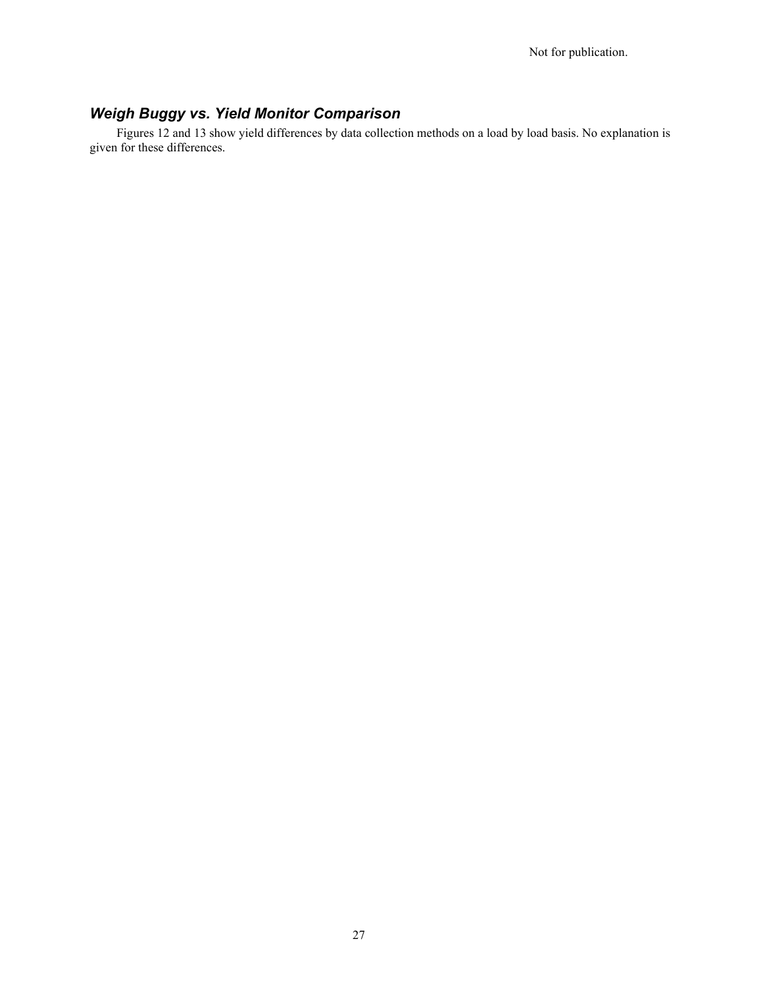# *Weigh Buggy vs. Yield Monitor Comparison*

Figures 12 and 13 show yield differences by data collection methods on a load by load basis. No explanation is given for these differences.